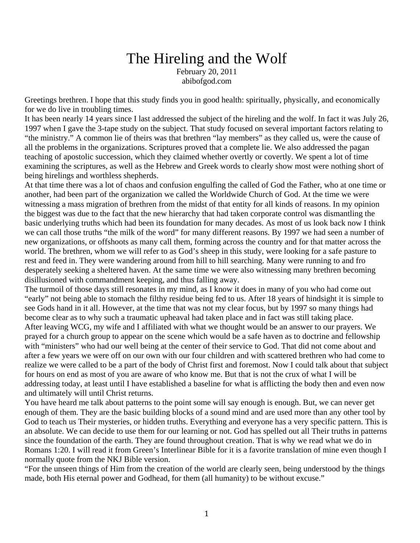## The Hireling and the Wolf February 20, 2011 abibofgod.com

Greetings brethren. I hope that this study finds you in good health: spiritually, physically, and economically for we do live in troubling times.

It has been nearly 14 years since I last addressed the subject of the hireling and the wolf. In fact it was July 26, 1997 when I gave the 3-tape study on the subject. That study focused on several important factors relating to "the ministry." A common lie of theirs was that brethren "lay members" as they called us, were the cause of all the problems in the organizations. Scriptures proved that a complete lie. We also addressed the pagan teaching of apostolic succession, which they claimed whether overtly or covertly. We spent a lot of time examining the scriptures, as well as the Hebrew and Greek words to clearly show most were nothing short of being hirelings and worthless shepherds.

At that time there was a lot of chaos and confusion engulfing the called of God the Father, who at one time or another, had been part of the organization we called the Worldwide Church of God. At the time we were witnessing a mass migration of brethren from the midst of that entity for all kinds of reasons. In my opinion the biggest was due to the fact that the new hierarchy that had taken corporate control was dismantling the basic underlying truths which had been its foundation for many decades. As most of us look back now I think we can call those truths "the milk of the word" for many different reasons. By 1997 we had seen a number of new organizations, or offshoots as many call them, forming across the country and for that matter across the world. The brethren, whom we will refer to as God's sheep in this study, were looking for a safe pasture to rest and feed in. They were wandering around from hill to hill searching. Many were running to and fro desperately seeking a sheltered haven. At the same time we were also witnessing many brethren becoming disillusioned with commandment keeping, and thus falling away.

The turmoil of those days still resonates in my mind, as I know it does in many of you who had come out "early" not being able to stomach the filthy residue being fed to us. After 18 years of hindsight it is simple to see Gods hand in it all. However, at the time that was not my clear focus, but by 1997 so many things had become clear as to why such a traumatic upheaval had taken place and in fact was still taking place. After leaving WCG, my wife and I affiliated with what we thought would be an answer to our prayers. We prayed for a church group to appear on the scene which would be a safe haven as to doctrine and fellowship with "ministers" who had our well being at the center of their service to God. That did not come about and after a few years we were off on our own with our four children and with scattered brethren who had come to realize we were called to be a part of the body of Christ first and foremost. Now I could talk about that subject for hours on end as most of you are aware of who know me. But that is not the crux of what I will be addressing today, at least until I have established a baseline for what is afflicting the body then and even now and ultimately will until Christ returns.

You have heard me talk about patterns to the point some will say enough is enough. But, we can never get enough of them. They are the basic building blocks of a sound mind and are used more than any other tool by God to teach us Their mysteries, or hidden truths. Everything and everyone has a very specific pattern. This is an absolute. We can decide to use them for our learning or not. God has spelled out all Their truths in patterns since the foundation of the earth. They are found throughout creation. That is why we read what we do in Romans 1:20. I will read it from Green's Interlinear Bible for it is a favorite translation of mine even though I normally quote from the NKJ Bible version.

"For the unseen things of Him from the creation of the world are clearly seen, being understood by the things made, both His eternal power and Godhead, for them (all humanity) to be without excuse."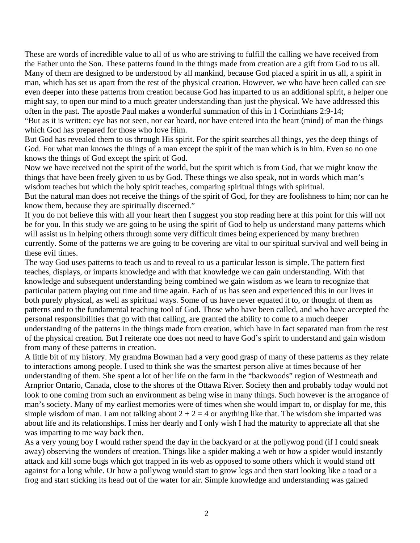These are words of incredible value to all of us who are striving to fulfill the calling we have received from the Father unto the Son. These patterns found in the things made from creation are a gift from God to us all. Many of them are designed to be understood by all mankind, because God placed a spirit in us all, a spirit in man, which has set us apart from the rest of the physical creation. However, we who have been called can see even deeper into these patterns from creation because God has imparted to us an additional spirit, a helper one might say, to open our mind to a much greater understanding than just the physical. We have addressed this often in the past. The apostle Paul makes a wonderful summation of this in 1 Corinthians 2:9-14; "But as it is written: eye has not seen, nor ear heard, nor have entered into the heart (mind) of man the things which God has prepared for those who love Him.

But God has revealed them to us through His spirit. For the spirit searches all things, yes the deep things of God. For what man knows the things of a man except the spirit of the man which is in him. Even so no one knows the things of God except the spirit of God.

Now we have received not the spirit of the world, but the spirit which is from God, that we might know the things that have been freely given to us by God. These things we also speak, not in words which man's wisdom teaches but which the holy spirit teaches, comparing spiritual things with spiritual.

But the natural man does not receive the things of the spirit of God, for they are foolishness to him; nor can he know them, because they are spiritually discerned."

If you do not believe this with all your heart then I suggest you stop reading here at this point for this will not be for you. In this study we are going to be using the spirit of God to help us understand many patterns which will assist us in helping others through some very difficult times being experienced by many brethren currently. Some of the patterns we are going to be covering are vital to our spiritual survival and well being in these evil times.

The way God uses patterns to teach us and to reveal to us a particular lesson is simple. The pattern first teaches, displays, or imparts knowledge and with that knowledge we can gain understanding. With that knowledge and subsequent understanding being combined we gain wisdom as we learn to recognize that particular pattern playing out time and time again. Each of us has seen and experienced this in our lives in both purely physical, as well as spiritual ways. Some of us have never equated it to, or thought of them as patterns and to the fundamental teaching tool of God. Those who have been called, and who have accepted the personal responsibilities that go with that calling, are granted the ability to come to a much deeper understanding of the patterns in the things made from creation, which have in fact separated man from the rest of the physical creation. But I reiterate one does not need to have God's spirit to understand and gain wisdom from many of these patterns in creation.

A little bit of my history. My grandma Bowman had a very good grasp of many of these patterns as they relate to interactions among people. I used to think she was the smartest person alive at times because of her understanding of them. She spent a lot of her life on the farm in the "backwoods" region of Westmeath and Arnprior Ontario, Canada, close to the shores of the Ottawa River. Society then and probably today would not look to one coming from such an environment as being wise in many things. Such however is the arrogance of man's society. Many of my earliest memories were of times when she would impart to, or display for me, this simple wisdom of man. I am not talking about  $2 + 2 = 4$  or anything like that. The wisdom she imparted was about life and its relationships. I miss her dearly and I only wish I had the maturity to appreciate all that she was imparting to me way back then.

As a very young boy I would rather spend the day in the backyard or at the pollywog pond (if I could sneak away) observing the wonders of creation. Things like a spider making a web or how a spider would instantly attack and kill some bugs which got trapped in its web as opposed to some others which it would stand off against for a long while. Or how a pollywog would start to grow legs and then start looking like a toad or a frog and start sticking its head out of the water for air. Simple knowledge and understanding was gained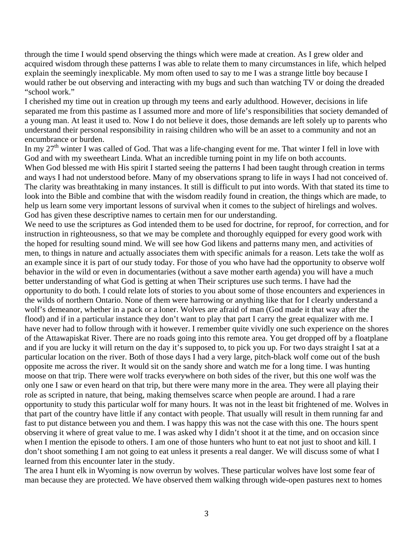through the time I would spend observing the things which were made at creation. As I grew older and acquired wisdom through these patterns I was able to relate them to many circumstances in life, which helped explain the seemingly inexplicable. My mom often used to say to me I was a strange little boy because I would rather be out observing and interacting with my bugs and such than watching TV or doing the dreaded "school work."

I cherished my time out in creation up through my teens and early adulthood. However, decisions in life separated me from this pastime as I assumed more and more of life's responsibilities that society demanded of a young man. At least it used to. Now I do not believe it does, those demands are left solely up to parents who understand their personal responsibility in raising children who will be an asset to a community and not an encumbrance or burden.

In my 27<sup>th</sup> winter I was called of God. That was a life-changing event for me. That winter I fell in love with God and with my sweetheart Linda. What an incredible turning point in my life on both accounts. When God blessed me with His spirit I started seeing the patterns I had been taught through creation in terms and ways I had not understood before. Many of my observations sprang to life in ways I had not conceived of. The clarity was breathtaking in many instances. It still is difficult to put into words. With that stated its time to look into the Bible and combine that with the wisdom readily found in creation, the things which are made, to help us learn some very important lessons of survival when it comes to the subject of hirelings and wolves. God has given these descriptive names to certain men for our understanding.

We need to use the scriptures as God intended them to be used for doctrine, for reproof, for correction, and for instruction in righteousness, so that we may be complete and thoroughly equipped for every good work with the hoped for resulting sound mind. We will see how God likens and patterns many men, and activities of men, to things in nature and actually associates them with specific animals for a reason. Lets take the wolf as an example since it is part of our study today. For those of you who have had the opportunity to observe wolf behavior in the wild or even in documentaries (without a save mother earth agenda) you will have a much better understanding of what God is getting at when Their scriptures use such terms. I have had the opportunity to do both. I could relate lots of stories to you about some of those encounters and experiences in the wilds of northern Ontario. None of them were harrowing or anything like that for I clearly understand a wolf's demeanor, whether in a pack or a loner. Wolves are afraid of man (God made it that way after the flood) and if in a particular instance they don't want to play that part I carry the great equalizer with me. I have never had to follow through with it however. I remember quite vividly one such experience on the shores of the Attawapiskat River. There are no roads going into this remote area. You get dropped off by a floatplane and if you are lucky it will return on the day it's supposed to, to pick you up. For two days straight I sat at a particular location on the river. Both of those days I had a very large, pitch-black wolf come out of the bush opposite me across the river. It would sit on the sandy shore and watch me for a long time. I was hunting moose on that trip. There were wolf tracks everywhere on both sides of the river, but this one wolf was the only one I saw or even heard on that trip, but there were many more in the area. They were all playing their role as scripted in nature, that being, making themselves scarce when people are around. I had a rare opportunity to study this particular wolf for many hours. It was not in the least bit frightened of me. Wolves in that part of the country have little if any contact with people. That usually will result in them running far and fast to put distance between you and them. I was happy this was not the case with this one. The hours spent observing it where of great value to me. I was asked why I didn't shoot it at the time, and on occasion since when I mention the episode to others. I am one of those hunters who hunt to eat not just to shoot and kill. I don't shoot something I am not going to eat unless it presents a real danger. We will discuss some of what I learned from this encounter later in the study.

The area I hunt elk in Wyoming is now overrun by wolves. These particular wolves have lost some fear of man because they are protected. We have observed them walking through wide-open pastures next to homes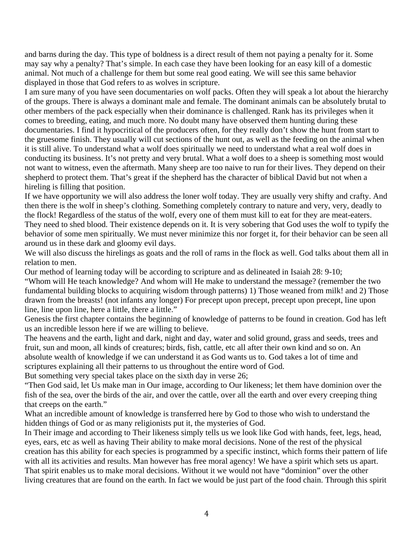and barns during the day. This type of boldness is a direct result of them not paying a penalty for it. Some may say why a penalty? That's simple. In each case they have been looking for an easy kill of a domestic animal. Not much of a challenge for them but some real good eating. We will see this same behavior displayed in those that God refers to as wolves in scripture.

I am sure many of you have seen documentaries on wolf packs. Often they will speak a lot about the hierarchy of the groups. There is always a dominant male and female. The dominant animals can be absolutely brutal to other members of the pack especially when their dominance is challenged. Rank has its privileges when it comes to breeding, eating, and much more. No doubt many have observed them hunting during these documentaries. I find it hypocritical of the producers often, for they really don't show the hunt from start to the gruesome finish. They usually will cut sections of the hunt out, as well as the feeding on the animal when it is still alive. To understand what a wolf does spiritually we need to understand what a real wolf does in conducting its business. It's not pretty and very brutal. What a wolf does to a sheep is something most would not want to witness, even the aftermath. Many sheep are too naive to run for their lives. They depend on their shepherd to protect them. That's great if the shepherd has the character of biblical David but not when a hireling is filling that position.

If we have opportunity we will also address the loner wolf today. They are usually very shifty and crafty. And then there is the wolf in sheep's clothing. Something completely contrary to nature and very, very, deadly to the flock! Regardless of the status of the wolf, every one of them must kill to eat for they are meat-eaters. They need to shed blood. Their existence depends on it. It is very sobering that God uses the wolf to typify the behavior of some men spiritually. We must never minimize this nor forget it, for their behavior can be seen all around us in these dark and gloomy evil days.

We will also discuss the hirelings as goats and the roll of rams in the flock as well. God talks about them all in relation to men.

Our method of learning today will be according to scripture and as delineated in Isaiah 28: 9-10;

"Whom will He teach knowledge? And whom will He make to understand the message? (remember the two fundamental building blocks to acquiring wisdom through patterns) 1) Those weaned from milk! and 2) Those drawn from the breasts! (not infants any longer) For precept upon precept, precept upon precept, line upon line, line upon line, here a little, there a little."

Genesis the first chapter contains the beginning of knowledge of patterns to be found in creation. God has left us an incredible lesson here if we are willing to believe.

The heavens and the earth, light and dark, night and day, water and solid ground, grass and seeds, trees and fruit, sun and moon, all kinds of creatures; birds, fish, cattle, etc all after their own kind and so on. An absolute wealth of knowledge if we can understand it as God wants us to. God takes a lot of time and scriptures explaining all their patterns to us throughout the entire word of God.

But something very special takes place on the sixth day in verse 26;

"Then God said, let Us make man in Our image, according to Our likeness; let them have dominion over the fish of the sea, over the birds of the air, and over the cattle, over all the earth and over every creeping thing that creeps on the earth."

What an incredible amount of knowledge is transferred here by God to those who wish to understand the hidden things of God or as many religionists put it, the mysteries of God.

In Their image and according to Their likeness simply tells us we look like God with hands, feet, legs, head, eyes, ears, etc as well as having Their ability to make moral decisions. None of the rest of the physical creation has this ability for each species is programmed by a specific instinct, which forms their pattern of life with all its activities and results. Man however has free moral agency! We have a spirit which sets us apart. That spirit enables us to make moral decisions. Without it we would not have "dominion" over the other living creatures that are found on the earth. In fact we would be just part of the food chain. Through this spirit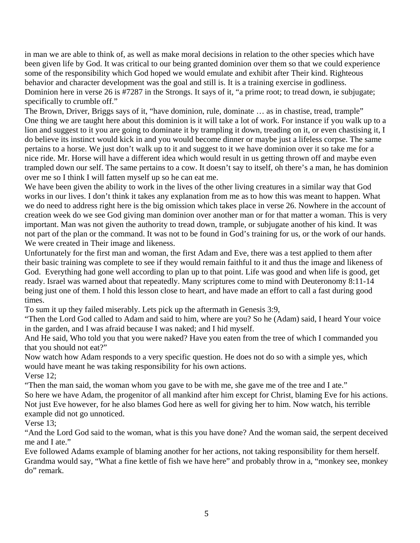in man we are able to think of, as well as make moral decisions in relation to the other species which have been given life by God. It was critical to our being granted dominion over them so that we could experience some of the responsibility which God hoped we would emulate and exhibit after Their kind. Righteous behavior and character development was the goal and still is. It is a training exercise in godliness. Dominion here in verse 26 is #7287 in the Strongs. It says of it, "a prime root; to tread down, ie subjugate; specifically to crumble off."

The Brown, Driver, Briggs says of it, "have dominion, rule, dominate … as in chastise, tread, trample" One thing we are taught here about this dominion is it will take a lot of work. For instance if you walk up to a lion and suggest to it you are going to dominate it by trampling it down, treading on it, or even chastising it, I do believe its instinct would kick in and you would become dinner or maybe just a lifeless corpse. The same pertains to a horse. We just don't walk up to it and suggest to it we have dominion over it so take me for a nice ride. Mr. Horse will have a different idea which would result in us getting thrown off and maybe even trampled down our self. The same pertains to a cow. It doesn't say to itself, oh there's a man, he has dominion over me so I think I will fatten myself up so he can eat me.

We have been given the ability to work in the lives of the other living creatures in a similar way that God works in our lives. I don't think it takes any explanation from me as to how this was meant to happen. What we do need to address right here is the big omission which takes place in verse 26. Nowhere in the account of creation week do we see God giving man dominion over another man or for that matter a woman. This is very important. Man was not given the authority to tread down, trample, or subjugate another of his kind. It was not part of the plan or the command. It was not to be found in God's training for us, or the work of our hands. We were created in Their image and likeness.

Unfortunately for the first man and woman, the first Adam and Eve, there was a test applied to them after their basic training was complete to see if they would remain faithful to it and thus the image and likeness of God. Everything had gone well according to plan up to that point. Life was good and when life is good, get ready. Israel was warned about that repeatedly. Many scriptures come to mind with Deuteronomy 8:11-14 being just one of them. I hold this lesson close to heart, and have made an effort to call a fast during good times.

To sum it up they failed miserably. Lets pick up the aftermath in Genesis 3:9,

"Then the Lord God called to Adam and said to him, where are you? So he (Adam) said, I heard Your voice in the garden, and I was afraid because I was naked; and I hid myself.

And He said, Who told you that you were naked? Have you eaten from the tree of which I commanded you that you should not eat?"

Now watch how Adam responds to a very specific question. He does not do so with a simple yes, which would have meant he was taking responsibility for his own actions.

Verse 12;

"Then the man said, the woman whom you gave to be with me, she gave me of the tree and I ate." So here we have Adam, the progenitor of all mankind after him except for Christ, blaming Eve for his actions. Not just Eve however, for he also blames God here as well for giving her to him. Now watch, his terrible example did not go unnoticed.

Verse 13;

"And the Lord God said to the woman, what is this you have done? And the woman said, the serpent deceived me and I ate."

Eve followed Adams example of blaming another for her actions, not taking responsibility for them herself. Grandma would say, "What a fine kettle of fish we have here" and probably throw in a, "monkey see, monkey do" remark.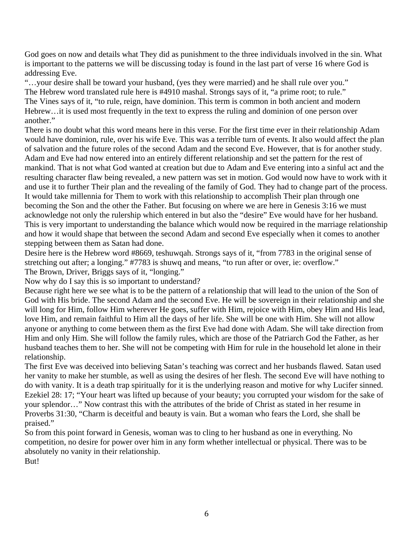God goes on now and details what They did as punishment to the three individuals involved in the sin. What is important to the patterns we will be discussing today is found in the last part of verse 16 where God is addressing Eve.

"…your desire shall be toward your husband, (yes they were married) and he shall rule over you." The Hebrew word translated rule here is #4910 mashal. Strongs says of it, "a prime root; to rule." The Vines says of it, "to rule, reign, have dominion. This term is common in both ancient and modern Hebrew…it is used most frequently in the text to express the ruling and dominion of one person over another."

There is no doubt what this word means here in this verse. For the first time ever in their relationship Adam would have dominion, rule, over his wife Eve. This was a terrible turn of events. It also would affect the plan of salvation and the future roles of the second Adam and the second Eve. However, that is for another study. Adam and Eve had now entered into an entirely different relationship and set the pattern for the rest of mankind. That is not what God wanted at creation but due to Adam and Eve entering into a sinful act and the resulting character flaw being revealed, a new pattern was set in motion. God would now have to work with it and use it to further Their plan and the revealing of the family of God. They had to change part of the process. It would take millennia for Them to work with this relationship to accomplish Their plan through one becoming the Son and the other the Father. But focusing on where we are here in Genesis 3:16 we must acknowledge not only the rulership which entered in but also the "desire" Eve would have for her husband. This is very important to understanding the balance which would now be required in the marriage relationship and how it would shape that between the second Adam and second Eve especially when it comes to another stepping between them as Satan had done.

Desire here is the Hebrew word #8669, teshuwqah. Strongs says of it, "from 7783 in the original sense of stretching out after; a longing." #7783 is shuwq and means, "to run after or over, ie: overflow." The Brown, Driver, Briggs says of it, "longing."

Now why do I say this is so important to understand?

Because right here we see what is to be the pattern of a relationship that will lead to the union of the Son of God with His bride. The second Adam and the second Eve. He will be sovereign in their relationship and she will long for Him, follow Him wherever He goes, suffer with Him, rejoice with Him, obey Him and His lead, love Him, and remain faithful to Him all the days of her life. She will be one with Him. She will not allow anyone or anything to come between them as the first Eve had done with Adam. She will take direction from Him and only Him. She will follow the family rules, which are those of the Patriarch God the Father, as her husband teaches them to her. She will not be competing with Him for rule in the household let alone in their relationship.

The first Eve was deceived into believing Satan's teaching was correct and her husbands flawed. Satan used her vanity to make her stumble, as well as using the desires of her flesh. The second Eve will have nothing to do with vanity. It is a death trap spiritually for it is the underlying reason and motive for why Lucifer sinned. Ezekiel 28: 17; "Your heart was lifted up because of your beauty; you corrupted your wisdom for the sake of your splendor…" Now contrast this with the attributes of the bride of Christ as stated in her resume in Proverbs 31:30, "Charm is deceitful and beauty is vain. But a woman who fears the Lord, she shall be praised."

So from this point forward in Genesis, woman was to cling to her husband as one in everything. No competition, no desire for power over him in any form whether intellectual or physical. There was to be absolutely no vanity in their relationship.

But!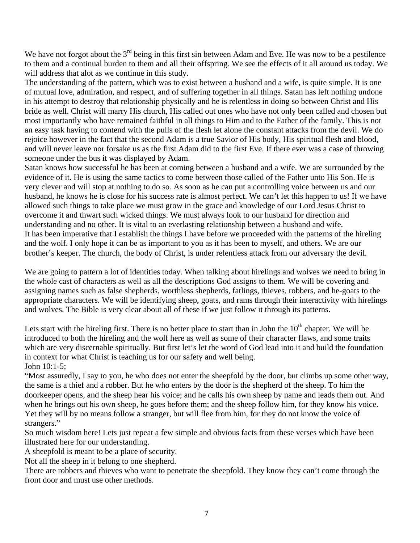We have not forgot about the 3<sup>rd</sup> being in this first sin between Adam and Eve. He was now to be a pestilence to them and a continual burden to them and all their offspring. We see the effects of it all around us today. We will address that alot as we continue in this study.

The understanding of the pattern, which was to exist between a husband and a wife, is quite simple. It is one of mutual love, admiration, and respect, and of suffering together in all things. Satan has left nothing undone in his attempt to destroy that relationship physically and he is relentless in doing so between Christ and His bride as well. Christ will marry His church, His called out ones who have not only been called and chosen but most importantly who have remained faithful in all things to Him and to the Father of the family. This is not an easy task having to contend with the pulls of the flesh let alone the constant attacks from the devil. We do rejoice however in the fact that the second Adam is a true Savior of His body, His spiritual flesh and blood, and will never leave nor forsake us as the first Adam did to the first Eve. If there ever was a case of throwing someone under the bus it was displayed by Adam.

Satan knows how successful he has been at coming between a husband and a wife. We are surrounded by the evidence of it. He is using the same tactics to come between those called of the Father unto His Son. He is very clever and will stop at nothing to do so. As soon as he can put a controlling voice between us and our husband, he knows he is close for his success rate is almost perfect. We can't let this happen to us! If we have allowed such things to take place we must grow in the grace and knowledge of our Lord Jesus Christ to overcome it and thwart such wicked things. We must always look to our husband for direction and understanding and no other. It is vital to an everlasting relationship between a husband and wife. It has been imperative that I establish the things I have before we proceeded with the patterns of the hireling and the wolf. I only hope it can be as important to you as it has been to myself, and others. We are our brother's keeper. The church, the body of Christ, is under relentless attack from our adversary the devil.

We are going to pattern a lot of identities today. When talking about hirelings and wolves we need to bring in the whole cast of characters as well as all the descriptions God assigns to them. We will be covering and assigning names such as false shepherds, worthless shepherds, fatlings, thieves, robbers, and he-goats to the appropriate characters. We will be identifying sheep, goats, and rams through their interactivity with hirelings and wolves. The Bible is very clear about all of these if we just follow it through its patterns.

Lets start with the hireling first. There is no better place to start than in John the  $10<sup>th</sup>$  chapter. We will be introduced to both the hireling and the wolf here as well as some of their character flaws, and some traits which are very discernable spiritually. But first let's let the word of God lead into it and build the foundation in context for what Christ is teaching us for our safety and well being. John 10:1-5;

"Most assuredly, I say to you, he who does not enter the sheepfold by the door, but climbs up some other way, the same is a thief and a robber. But he who enters by the door is the shepherd of the sheep. To him the doorkeeper opens, and the sheep hear his voice; and he calls his own sheep by name and leads them out. And when he brings out his own sheep, he goes before them; and the sheep follow him, for they know his voice. Yet they will by no means follow a stranger, but will flee from him, for they do not know the voice of strangers."

So much wisdom here! Lets just repeat a few simple and obvious facts from these verses which have been illustrated here for our understanding.

A sheepfold is meant to be a place of security.

Not all the sheep in it belong to one shepherd.

There are robbers and thieves who want to penetrate the sheepfold. They know they can't come through the front door and must use other methods.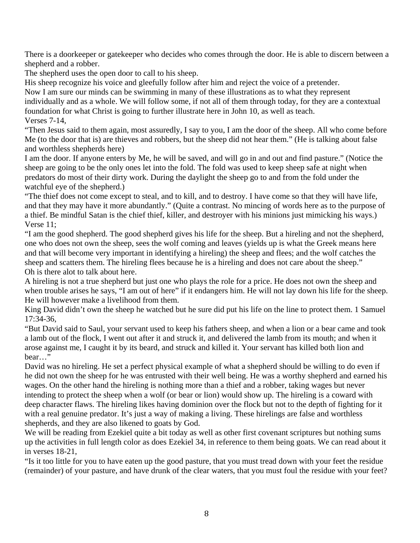There is a doorkeeper or gatekeeper who decides who comes through the door. He is able to discern between a shepherd and a robber.

The shepherd uses the open door to call to his sheep.

His sheep recognize his voice and gleefully follow after him and reject the voice of a pretender.

Now I am sure our minds can be swimming in many of these illustrations as to what they represent individually and as a whole. We will follow some, if not all of them through today, for they are a contextual

foundation for what Christ is going to further illustrate here in John 10, as well as teach.

Verses 7-14,

"Then Jesus said to them again, most assuredly, I say to you, I am the door of the sheep. All who come before Me (to the door that is) are thieves and robbers, but the sheep did not hear them." (He is talking about false and worthless shepherds here)

I am the door. If anyone enters by Me, he will be saved, and will go in and out and find pasture." (Notice the sheep are going to be the only ones let into the fold. The fold was used to keep sheep safe at night when predators do most of their dirty work. During the daylight the sheep go to and from the fold under the watchful eye of the shepherd.)

"The thief does not come except to steal, and to kill, and to destroy. I have come so that they will have life, and that they may have it more abundantly." (Quite a contrast. No mincing of words here as to the purpose of a thief. Be mindful Satan is the chief thief, killer, and destroyer with his minions just mimicking his ways.) Verse 11;

"I am the good shepherd. The good shepherd gives his life for the sheep. But a hireling and not the shepherd, one who does not own the sheep, sees the wolf coming and leaves (yields up is what the Greek means here and that will become very important in identifying a hireling) the sheep and flees; and the wolf catches the sheep and scatters them. The hireling flees because he is a hireling and does not care about the sheep." Oh is there alot to talk about here.

A hireling is not a true shepherd but just one who plays the role for a price. He does not own the sheep and when trouble arises he says, "I am out of here" if it endangers him. He will not lay down his life for the sheep. He will however make a livelihood from them.

King David didn't own the sheep he watched but he sure did put his life on the line to protect them. 1 Samuel 17:34-36,

"But David said to Saul, your servant used to keep his fathers sheep, and when a lion or a bear came and took a lamb out of the flock, I went out after it and struck it, and delivered the lamb from its mouth; and when it arose against me, I caught it by its beard, and struck and killed it. Your servant has killed both lion and bear…"

David was no hireling. He set a perfect physical example of what a shepherd should be willing to do even if he did not own the sheep for he was entrusted with their well being. He was a worthy shepherd and earned his wages. On the other hand the hireling is nothing more than a thief and a robber, taking wages but never intending to protect the sheep when a wolf (or bear or lion) would show up. The hireling is a coward with deep character flaws. The hireling likes having dominion over the flock but not to the depth of fighting for it with a real genuine predator. It's just a way of making a living. These hirelings are false and worthless shepherds, and they are also likened to goats by God.

We will be reading from Ezekiel quite a bit today as well as other first covenant scriptures but nothing sums up the activities in full length color as does Ezekiel 34, in reference to them being goats. We can read about it in verses 18-21,

"Is it too little for you to have eaten up the good pasture, that you must tread down with your feet the residue (remainder) of your pasture, and have drunk of the clear waters, that you must foul the residue with your feet?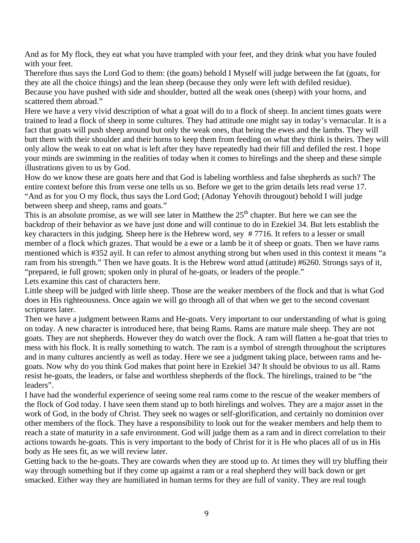And as for My flock, they eat what you have trampled with your feet, and they drink what you have fouled with your feet.

Therefore thus says the Lord God to them: (the goats) behold I Myself will judge between the fat (goats, for they ate all the choice things) and the lean sheep (because they only were left with defiled residue). Because you have pushed with side and shoulder, butted all the weak ones (sheep) with your horns, and scattered them abroad."

Here we have a very vivid description of what a goat will do to a flock of sheep. In ancient times goats were trained to lead a flock of sheep in some cultures. They had attitude one might say in today's vernacular. It is a fact that goats will push sheep around but only the weak ones, that being the ewes and the lambs. They will butt them with their shoulder and their horns to keep them from feeding on what they think is theirs. They will only allow the weak to eat on what is left after they have repeatedly had their fill and defiled the rest. I hope your minds are swimming in the realities of today when it comes to hirelings and the sheep and these simple illustrations given to us by God.

How do we know these are goats here and that God is labeling worthless and false shepherds as such? The entire context before this from verse one tells us so. Before we get to the grim details lets read verse 17. "And as for you O my flock, thus says the Lord God; (Adonay Yehovih througout) behold I will judge between sheep and sheep, rams and goats."

This is an absolute promise, as we will see later in Matthew the  $25<sup>th</sup>$  chapter. But here we can see the backdrop of their behavior as we have just done and will continue to do in Ezekiel 34. But lets establish the key characters in this judging. Sheep here is the Hebrew word, sey # 7716. It refers to a lesser or small member of a flock which grazes. That would be a ewe or a lamb be it of sheep or goats. Then we have rams mentioned which is #352 ayil. It can refer to almost anything strong but when used in this context it means "a ram from his strength." Then we have goats. It is the Hebrew word attud (attitude) #6260. Strongs says of it, "prepared, ie full grown; spoken only in plural of he-goats, or leaders of the people." Lets examine this cast of characters here.

Little sheep will be judged with little sheep. Those are the weaker members of the flock and that is what God does in His righteousness. Once again we will go through all of that when we get to the second covenant

scriptures later.

Then we have a judgment between Rams and He-goats. Very important to our understanding of what is going on today. A new character is introduced here, that being Rams. Rams are mature male sheep. They are not goats. They are not shepherds. However they do watch over the flock. A ram will flatten a he-goat that tries to mess with his flock. It is really something to watch. The ram is a symbol of strength throughout the scriptures and in many cultures anciently as well as today. Here we see a judgment taking place, between rams and hegoats. Now why do you think God makes that point here in Ezekiel 34? It should be obvious to us all. Rams resist he-goats, the leaders, or false and worthless shepherds of the flock. The hirelings, trained to be "the leaders".

I have had the wonderful experience of seeing some real rams come to the rescue of the weaker members of the flock of God today. I have seen them stand up to both hirelings and wolves. They are a major asset in the work of God, in the body of Christ. They seek no wages or self-glorification, and certainly no dominion over other members of the flock. They have a responsibility to look out for the weaker members and help them to reach a state of maturity in a safe environment. God will judge them as a ram and in direct correlation to their actions towards he-goats. This is very important to the body of Christ for it is He who places all of us in His body as He sees fit, as we will review later.

Getting back to the he-goats. They are cowards when they are stood up to. At times they will try bluffing their way through something but if they come up against a ram or a real shepherd they will back down or get smacked. Either way they are humiliated in human terms for they are full of vanity. They are real tough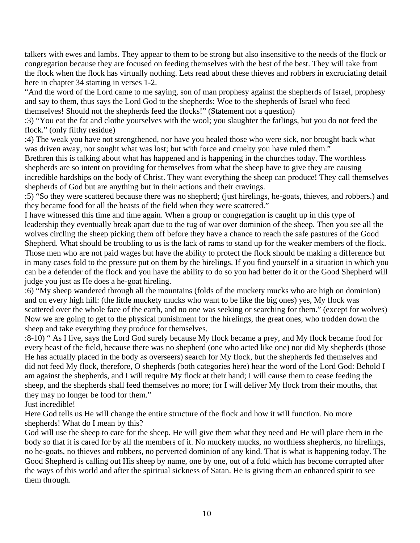talkers with ewes and lambs. They appear to them to be strong but also insensitive to the needs of the flock or congregation because they are focused on feeding themselves with the best of the best. They will take from the flock when the flock has virtually nothing. Lets read about these thieves and robbers in excruciating detail here in chapter 34 starting in verses 1-2.

"And the word of the Lord came to me saying, son of man prophesy against the shepherds of Israel, prophesy and say to them, thus says the Lord God to the shepherds: Woe to the shepherds of Israel who feed themselves! Should not the shepherds feed the flocks!" (Statement not a question)

:3) "You eat the fat and clothe yourselves with the wool; you slaughter the fatlings, but you do not feed the flock." (only filthy residue)

:4) The weak you have not strengthened, nor have you healed those who were sick, nor brought back what was driven away, nor sought what was lost; but with force and cruelty you have ruled them."

Brethren this is talking about what has happened and is happening in the churches today. The worthless shepherds are so intent on providing for themselves from what the sheep have to give they are causing incredible hardships on the body of Christ. They want everything the sheep can produce! They call themselves shepherds of God but are anything but in their actions and their cravings.

:5) "So they were scattered because there was no shepherd; (just hirelings, he-goats, thieves, and robbers.) and they became food for all the beasts of the field when they were scattered."

I have witnessed this time and time again. When a group or congregation is caught up in this type of leadership they eventually break apart due to the tug of war over dominion of the sheep. Then you see all the wolves circling the sheep picking them off before they have a chance to reach the safe pastures of the Good Shepherd. What should be troubling to us is the lack of rams to stand up for the weaker members of the flock. Those men who are not paid wages but have the ability to protect the flock should be making a difference but in many cases fold to the pressure put on them by the hirelings. If you find yourself in a situation in which you can be a defender of the flock and you have the ability to do so you had better do it or the Good Shepherd will judge you just as He does a he-goat hireling.

:6) "My sheep wandered through all the mountains (folds of the muckety mucks who are high on dominion) and on every high hill: (the little muckety mucks who want to be like the big ones) yes, My flock was scattered over the whole face of the earth, and no one was seeking or searching for them." (except for wolves) Now we are going to get to the physical punishment for the hirelings, the great ones, who trodden down the sheep and take everything they produce for themselves.

:8-10) " As I live, says the Lord God surely because My flock became a prey, and My flock became food for every beast of the field, because there was no shepherd (one who acted like one) nor did My shepherds (those He has actually placed in the body as overseers) search for My flock, but the shepherds fed themselves and did not feed My flock, therefore, O shepherds (both categories here) hear the word of the Lord God: Behold I am against the shepherds, and I will require My flock at their hand; I will cause them to cease feeding the sheep, and the shepherds shall feed themselves no more; for I will deliver My flock from their mouths, that they may no longer be food for them."

Just incredible!

Here God tells us He will change the entire structure of the flock and how it will function. No more shepherds! What do I mean by this?

God will use the sheep to care for the sheep. He will give them what they need and He will place them in the body so that it is cared for by all the members of it. No muckety mucks, no worthless shepherds, no hirelings, no he-goats, no thieves and robbers, no perverted dominion of any kind. That is what is happening today. The Good Shepherd is calling out His sheep by name, one by one, out of a fold which has become corrupted after the ways of this world and after the spiritual sickness of Satan. He is giving them an enhanced spirit to see them through.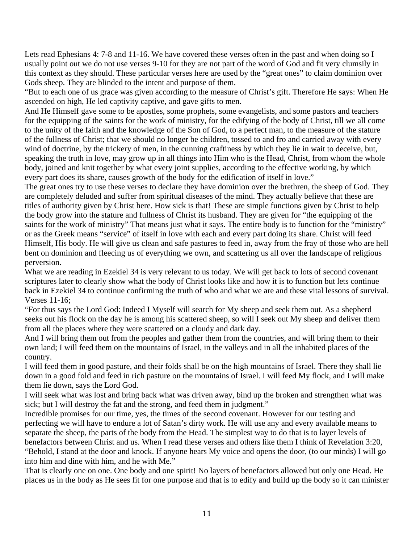Lets read Ephesians 4: 7-8 and 11-16. We have covered these verses often in the past and when doing so I usually point out we do not use verses 9-10 for they are not part of the word of God and fit very clumsily in this context as they should. These particular verses here are used by the "great ones" to claim dominion over Gods sheep. They are blinded to the intent and purpose of them.

"But to each one of us grace was given according to the measure of Christ's gift. Therefore He says: When He ascended on high, He led captivity captive, and gave gifts to men.

And He Himself gave some to be apostles, some prophets, some evangelists, and some pastors and teachers for the equipping of the saints for the work of ministry, for the edifying of the body of Christ, till we all come to the unity of the faith and the knowledge of the Son of God, to a perfect man, to the measure of the stature of the fullness of Christ; that we should no longer be children, tossed to and fro and carried away with every wind of doctrine, by the trickery of men, in the cunning craftiness by which they lie in wait to deceive, but, speaking the truth in love, may grow up in all things into Him who is the Head, Christ, from whom the whole body, joined and knit together by what every joint supplies, according to the effective working, by which every part does its share, causes growth of the body for the edification of itself in love."

The great ones try to use these verses to declare they have dominion over the brethren, the sheep of God. They are completely deluded and suffer from spiritual diseases of the mind. They actually believe that these are titles of authority given by Christ here. How sick is that! These are simple functions given by Christ to help the body grow into the stature and fullness of Christ its husband. They are given for "the equipping of the saints for the work of ministry" That means just what it says. The entire body is to function for the "ministry" or as the Greek means "service" of itself in love with each and every part doing its share. Christ will feed Himself, His body. He will give us clean and safe pastures to feed in, away from the fray of those who are hell bent on dominion and fleecing us of everything we own, and scattering us all over the landscape of religious perversion.

What we are reading in Ezekiel 34 is very relevant to us today. We will get back to lots of second covenant scriptures later to clearly show what the body of Christ looks like and how it is to function but lets continue back in Ezekiel 34 to continue confirming the truth of who and what we are and these vital lessons of survival. Verses 11-16;

"For thus says the Lord God: Indeed I Myself will search for My sheep and seek them out. As a shepherd seeks out his flock on the day he is among his scattered sheep, so will I seek out My sheep and deliver them from all the places where they were scattered on a cloudy and dark day.

And I will bring them out from the peoples and gather them from the countries, and will bring them to their own land; I will feed them on the mountains of Israel, in the valleys and in all the inhabited places of the country.

I will feed them in good pasture, and their folds shall be on the high mountains of Israel. There they shall lie down in a good fold and feed in rich pasture on the mountains of Israel. I will feed My flock, and I will make them lie down, says the Lord God.

I will seek what was lost and bring back what was driven away, bind up the broken and strengthen what was sick; but I will destroy the fat and the strong, and feed them in judgment."

Incredible promises for our time, yes, the times of the second covenant. However for our testing and perfecting we will have to endure a lot of Satan's dirty work. He will use any and every available means to separate the sheep, the parts of the body from the Head. The simplest way to do that is to layer levels of benefactors between Christ and us. When I read these verses and others like them I think of Revelation 3:20, "Behold, I stand at the door and knock. If anyone hears My voice and opens the door, (to our minds) I will go into him and dine with him, and he with Me."

That is clearly one on one. One body and one spirit! No layers of benefactors allowed but only one Head. He places us in the body as He sees fit for one purpose and that is to edify and build up the body so it can minister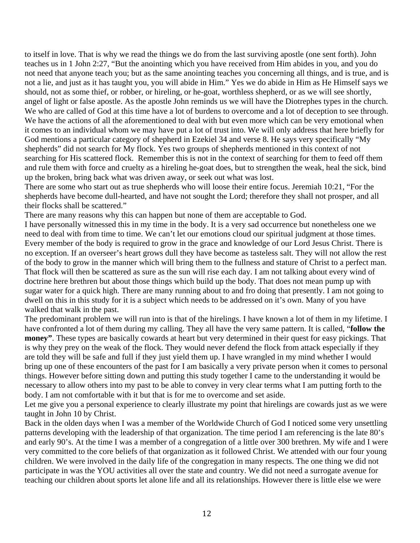to itself in love. That is why we read the things we do from the last surviving apostle (one sent forth). John teaches us in 1 John 2:27, "But the anointing which you have received from Him abides in you, and you do not need that anyone teach you; but as the same anointing teaches you concerning all things, and is true, and is not a lie, and just as it has taught you, you will abide in Him." Yes we do abide in Him as He Himself says we should, not as some thief, or robber, or hireling, or he-goat, worthless shepherd, or as we will see shortly, angel of light or false apostle. As the apostle John reminds us we will have the Diotrephes types in the church. We who are called of God at this time have a lot of burdens to overcome and a lot of deception to see through. We have the actions of all the aforementioned to deal with but even more which can be very emotional when it comes to an individual whom we may have put a lot of trust into. We will only address that here briefly for God mentions a particular category of shepherd in Ezekiel 34 and verse 8. He says very specifically "My shepherds" did not search for My flock. Yes two groups of shepherds mentioned in this context of not searching for His scattered flock. Remember this is not in the context of searching for them to feed off them and rule them with force and cruelty as a hireling he-goat does, but to strengthen the weak, heal the sick, bind up the broken, bring back what was driven away, or seek out what was lost.

There are some who start out as true shepherds who will loose their entire focus. Jeremiah 10:21, "For the shepherds have become dull-hearted, and have not sought the Lord; therefore they shall not prosper, and all their flocks shall be scattered."

There are many reasons why this can happen but none of them are acceptable to God.

I have personally witnessed this in my time in the body. It is a very sad occurrence but nonetheless one we need to deal with from time to time. We can't let our emotions cloud our spiritual judgment at those times. Every member of the body is required to grow in the grace and knowledge of our Lord Jesus Christ. There is no exception. If an overseer's heart grows dull they have become as tasteless salt. They will not allow the rest of the body to grow in the manner which will bring them to the fullness and stature of Christ to a perfect man. That flock will then be scattered as sure as the sun will rise each day. I am not talking about every wind of doctrine here brethren but about those things which build up the body. That does not mean pump up with sugar water for a quick high. There are many running about to and fro doing that presently. I am not going to dwell on this in this study for it is a subject which needs to be addressed on it's own. Many of you have walked that walk in the past.

The predominant problem we will run into is that of the hirelings. I have known a lot of them in my lifetime. I have confronted a lot of them during my calling. They all have the very same pattern. It is called, "**follow the money"**. These types are basically cowards at heart but very determined in their quest for easy pickings. That is why they prey on the weak of the flock. They would never defend the flock from attack especially if they are told they will be safe and full if they just yield them up. I have wrangled in my mind whether I would bring up one of these encounters of the past for I am basically a very private person when it comes to personal things. However before sitting down and putting this study together I came to the understanding it would be necessary to allow others into my past to be able to convey in very clear terms what I am putting forth to the body. I am not comfortable with it but that is for me to overcome and set aside.

Let me give you a personal experience to clearly illustrate my point that hirelings are cowards just as we were taught in John 10 by Christ.

Back in the olden days when I was a member of the Worldwide Church of God I noticed some very unsettling patterns developing with the leadership of that organization. The time period I am referencing is the late 80's and early 90's. At the time I was a member of a congregation of a little over 300 brethren. My wife and I were very committed to the core beliefs of that organization as it followed Christ. We attended with our four young children. We were involved in the daily life of the congregation in many respects. The one thing we did not participate in was the YOU activities all over the state and country. We did not need a surrogate avenue for teaching our children about sports let alone life and all its relationships. However there is little else we were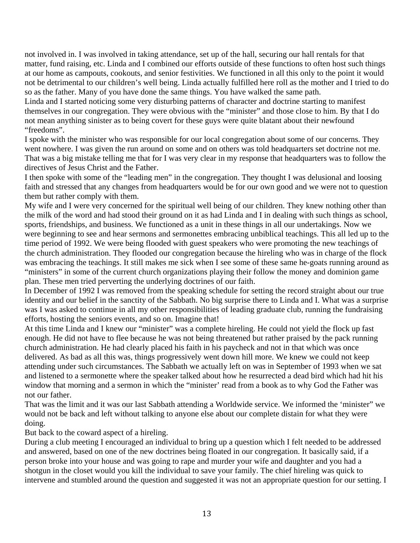not involved in. I was involved in taking attendance, set up of the hall, securing our hall rentals for that matter, fund raising, etc. Linda and I combined our efforts outside of these functions to often host such things at our home as campouts, cookouts, and senior festivities. We functioned in all this only to the point it would not be detrimental to our children's well being. Linda actually fulfilled here roll as the mother and I tried to do so as the father. Many of you have done the same things. You have walked the same path.

Linda and I started noticing some very disturbing patterns of character and doctrine starting to manifest themselves in our congregation. They were obvious with the "minister" and those close to him. By that I do not mean anything sinister as to being covert for these guys were quite blatant about their newfound "freedoms".

I spoke with the minister who was responsible for our local congregation about some of our concerns. They went nowhere. I was given the run around on some and on others was told headquarters set doctrine not me. That was a big mistake telling me that for I was very clear in my response that headquarters was to follow the directives of Jesus Christ and the Father.

I then spoke with some of the "leading men" in the congregation. They thought I was delusional and loosing faith and stressed that any changes from headquarters would be for our own good and we were not to question them but rather comply with them.

My wife and I were very concerned for the spiritual well being of our children. They knew nothing other than the milk of the word and had stood their ground on it as had Linda and I in dealing with such things as school, sports, friendships, and business. We functioned as a unit in these things in all our undertakings. Now we were beginning to see and hear sermons and sermonettes embracing unbiblical teachings. This all led up to the time period of 1992. We were being flooded with guest speakers who were promoting the new teachings of the church administration. They flooded our congregation because the hireling who was in charge of the flock was embracing the teachings. It still makes me sick when I see some of these same he-goats running around as "ministers" in some of the current church organizations playing their follow the money and dominion game plan. These men tried perverting the underlying doctrines of our faith.

In December of 1992 I was removed from the speaking schedule for setting the record straight about our true identity and our belief in the sanctity of the Sabbath. No big surprise there to Linda and I. What was a surprise was I was asked to continue in all my other responsibilities of leading graduate club, running the fundraising efforts, hosting the seniors events, and so on. Imagine that!

At this time Linda and I knew our "minister" was a complete hireling. He could not yield the flock up fast enough. He did not have to flee because he was not being threatened but rather praised by the pack running church administration. He had clearly placed his faith in his paycheck and not in that which was once delivered. As bad as all this was, things progressively went down hill more. We knew we could not keep attending under such circumstances. The Sabbath we actually left on was in September of 1993 when we sat and listened to a sermonette where the speaker talked about how he resurrected a dead bird which had hit his window that morning and a sermon in which the "minister' read from a book as to why God the Father was not our father.

That was the limit and it was our last Sabbath attending a Worldwide service. We informed the 'minister" we would not be back and left without talking to anyone else about our complete distain for what they were doing.

But back to the coward aspect of a hireling.

During a club meeting I encouraged an individual to bring up a question which I felt needed to be addressed and answered, based on one of the new doctrines being floated in our congregation. It basically said, if a person broke into your house and was going to rape and murder your wife and daughter and you had a shotgun in the closet would you kill the individual to save your family. The chief hireling was quick to intervene and stumbled around the question and suggested it was not an appropriate question for our setting. I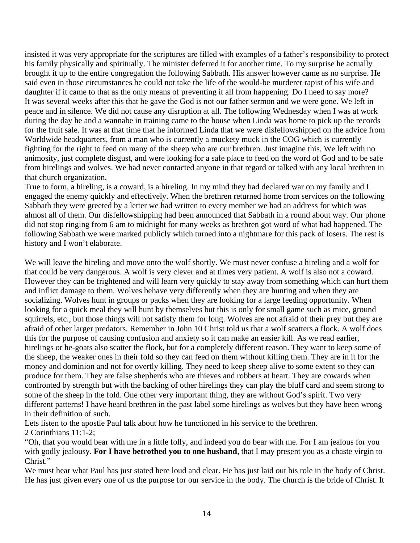insisted it was very appropriate for the scriptures are filled with examples of a father's responsibility to protect his family physically and spiritually. The minister deferred it for another time. To my surprise he actually brought it up to the entire congregation the following Sabbath. His answer however came as no surprise. He said even in those circumstances he could not take the life of the would-be murderer rapist of his wife and daughter if it came to that as the only means of preventing it all from happening. Do I need to say more? It was several weeks after this that he gave the God is not our father sermon and we were gone. We left in peace and in silence. We did not cause any disruption at all. The following Wednesday when I was at work during the day he and a wannabe in training came to the house when Linda was home to pick up the records for the fruit sale. It was at that time that he informed Linda that we were disfellowshipped on the advice from Worldwide headquarters, from a man who is currently a muckety muck in the COG which is currently fighting for the right to feed on many of the sheep who are our brethren. Just imagine this. We left with no animosity, just complete disgust, and were looking for a safe place to feed on the word of God and to be safe from hirelings and wolves. We had never contacted anyone in that regard or talked with any local brethren in that church organization.

True to form, a hireling, is a coward, is a hireling. In my mind they had declared war on my family and I engaged the enemy quickly and effectively. When the brethren returned home from services on the following Sabbath they were greeted by a letter we had written to every member we had an address for which was almost all of them. Our disfellowshipping had been announced that Sabbath in a round about way. Our phone did not stop ringing from 6 am to midnight for many weeks as brethren got word of what had happened. The following Sabbath we were marked publicly which turned into a nightmare for this pack of losers. The rest is history and I won't elaborate.

We will leave the hireling and move onto the wolf shortly. We must never confuse a hireling and a wolf for that could be very dangerous. A wolf is very clever and at times very patient. A wolf is also not a coward. However they can be frightened and will learn very quickly to stay away from something which can hurt them and inflict damage to them. Wolves behave very differently when they are hunting and when they are socializing. Wolves hunt in groups or packs when they are looking for a large feeding opportunity. When looking for a quick meal they will hunt by themselves but this is only for small game such as mice, ground squirrels, etc., but those things will not satisfy them for long. Wolves are not afraid of their prey but they are afraid of other larger predators. Remember in John 10 Christ told us that a wolf scatters a flock. A wolf does this for the purpose of causing confusion and anxiety so it can make an easier kill. As we read earlier, hirelings or he-goats also scatter the flock, but for a completely different reason. They want to keep some of the sheep, the weaker ones in their fold so they can feed on them without killing them. They are in it for the money and dominion and not for overtly killing. They need to keep sheep alive to some extent so they can produce for them. They are false shepherds who are thieves and robbers at heart. They are cowards when confronted by strength but with the backing of other hirelings they can play the bluff card and seem strong to some of the sheep in the fold. One other very important thing, they are without God's spirit. Two very different patterns! I have heard brethren in the past label some hirelings as wolves but they have been wrong in their definition of such.

Lets listen to the apostle Paul talk about how he functioned in his service to the brethren. 2 Corinthians 11:1-2;

"Oh, that you would bear with me in a little folly, and indeed you do bear with me. For I am jealous for you with godly jealousy. **For I have betrothed you to one husband**, that I may present you as a chaste virgin to Christ."

We must hear what Paul has just stated here loud and clear. He has just laid out his role in the body of Christ. He has just given every one of us the purpose for our service in the body. The church is the bride of Christ. It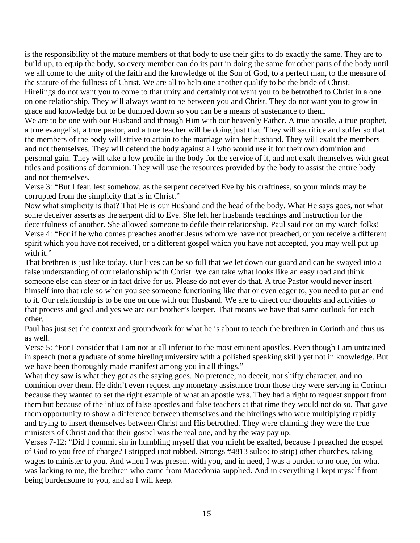is the responsibility of the mature members of that body to use their gifts to do exactly the same. They are to build up, to equip the body, so every member can do its part in doing the same for other parts of the body until we all come to the unity of the faith and the knowledge of the Son of God, to a perfect man, to the measure of the stature of the fullness of Christ. We are all to help one another qualify to be the bride of Christ.

Hirelings do not want you to come to that unity and certainly not want you to be betrothed to Christ in a one on one relationship. They will always want to be between you and Christ. They do not want you to grow in grace and knowledge but to be dumbed down so you can be a means of sustenance to them.

We are to be one with our Husband and through Him with our heavenly Father. A true apostle, a true prophet, a true evangelist, a true pastor, and a true teacher will be doing just that. They will sacrifice and suffer so that the members of the body will strive to attain to the marriage with her husband. They will exalt the members and not themselves. They will defend the body against all who would use it for their own dominion and personal gain. They will take a low profile in the body for the service of it, and not exalt themselves with great titles and positions of dominion. They will use the resources provided by the body to assist the entire body and not themselves.

Verse 3: "But I fear, lest somehow, as the serpent deceived Eve by his craftiness, so your minds may be corrupted from the simplicity that is in Christ."

Now what simplicity is that? That He is our Husband and the head of the body. What He says goes, not what some deceiver asserts as the serpent did to Eve. She left her husbands teachings and instruction for the deceitfulness of another. She allowed someone to defile their relationship. Paul said not on my watch folks! Verse 4: "For if he who comes preaches another Jesus whom we have not preached, or you receive a different spirit which you have not received, or a different gospel which you have not accepted, you may well put up with it."

That brethren is just like today. Our lives can be so full that we let down our guard and can be swayed into a false understanding of our relationship with Christ. We can take what looks like an easy road and think someone else can steer or in fact drive for us. Please do not ever do that. A true Pastor would never insert himself into that role so when you see someone functioning like that or even eager to, you need to put an end to it. Our relationship is to be one on one with our Husband. We are to direct our thoughts and activities to that process and goal and yes we are our brother's keeper. That means we have that same outlook for each other.

Paul has just set the context and groundwork for what he is about to teach the brethren in Corinth and thus us as well.

Verse 5: "For I consider that I am not at all inferior to the most eminent apostles. Even though I am untrained in speech (not a graduate of some hireling university with a polished speaking skill) yet not in knowledge. But we have been thoroughly made manifest among you in all things."

What they saw is what they got as the saying goes. No pretence, no deceit, not shifty character, and no dominion over them. He didn't even request any monetary assistance from those they were serving in Corinth because they wanted to set the right example of what an apostle was. They had a right to request support from them but because of the influx of false apostles and false teachers at that time they would not do so. That gave them opportunity to show a difference between themselves and the hirelings who were multiplying rapidly and trying to insert themselves between Christ and His betrothed. They were claiming they were the true ministers of Christ and that their gospel was the real one, and by the way pay up.

Verses 7-12: "Did I commit sin in humbling myself that you might be exalted, because I preached the gospel of God to you free of charge? I stripped (not robbed, Strongs #4813 sulao: to strip) other churches, taking wages to minister to you. And when I was present with you, and in need, I was a burden to no one, for what was lacking to me, the brethren who came from Macedonia supplied. And in everything I kept myself from being burdensome to you, and so I will keep.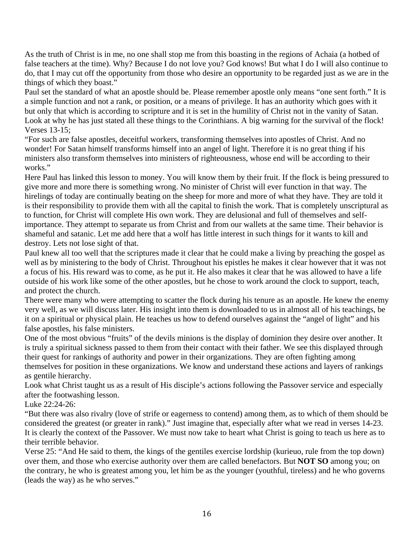As the truth of Christ is in me, no one shall stop me from this boasting in the regions of Achaia (a hotbed of false teachers at the time). Why? Because I do not love you? God knows! But what I do I will also continue to do, that I may cut off the opportunity from those who desire an opportunity to be regarded just as we are in the things of which they boast."

Paul set the standard of what an apostle should be. Please remember apostle only means "one sent forth." It is a simple function and not a rank, or position, or a means of privilege. It has an authority which goes with it but only that which is according to scripture and it is set in the humility of Christ not in the vanity of Satan. Look at why he has just stated all these things to the Corinthians. A big warning for the survival of the flock! Verses 13-15;

"For such are false apostles, deceitful workers, transforming themselves into apostles of Christ. And no wonder! For Satan himself transforms himself into an angel of light. Therefore it is no great thing if his ministers also transform themselves into ministers of righteousness, whose end will be according to their works."

Here Paul has linked this lesson to money. You will know them by their fruit. If the flock is being pressured to give more and more there is something wrong. No minister of Christ will ever function in that way. The hirelings of today are continually beating on the sheep for more and more of what they have. They are told it is their responsibility to provide them with all the capital to finish the work. That is completely unscriptural as to function, for Christ will complete His own work. They are delusional and full of themselves and selfimportance. They attempt to separate us from Christ and from our wallets at the same time. Their behavior is shameful and satanic. Let me add here that a wolf has little interest in such things for it wants to kill and destroy. Lets not lose sight of that.

Paul knew all too well that the scriptures made it clear that he could make a living by preaching the gospel as well as by ministering to the body of Christ. Throughout his epistles he makes it clear however that it was not a focus of his. His reward was to come, as he put it. He also makes it clear that he was allowed to have a life outside of his work like some of the other apostles, but he chose to work around the clock to support, teach, and protect the church.

There were many who were attempting to scatter the flock during his tenure as an apostle. He knew the enemy very well, as we will discuss later. His insight into them is downloaded to us in almost all of his teachings, be it on a spiritual or physical plain. He teaches us how to defend ourselves against the "angel of light" and his false apostles, his false ministers.

One of the most obvious "fruits" of the devils minions is the display of dominion they desire over another. It is truly a spiritual sickness passed to them from their contact with their father. We see this displayed through their quest for rankings of authority and power in their organizations. They are often fighting among themselves for position in these organizations. We know and understand these actions and layers of rankings as gentile hierarchy.

Look what Christ taught us as a result of His disciple's actions following the Passover service and especially after the footwashing lesson.

Luke 22:24-26:

"But there was also rivalry (love of strife or eagerness to contend) among them, as to which of them should be considered the greatest (or greater in rank)." Just imagine that, especially after what we read in verses 14-23. It is clearly the context of the Passover. We must now take to heart what Christ is going to teach us here as to their terrible behavior.

Verse 25: "And He said to them, the kings of the gentiles exercise lordship (kurieuo, rule from the top down) over them, and those who exercise authority over them are called benefactors. But **NOT SO** among you; on the contrary, he who is greatest among you, let him be as the younger (youthful, tireless) and he who governs (leads the way) as he who serves."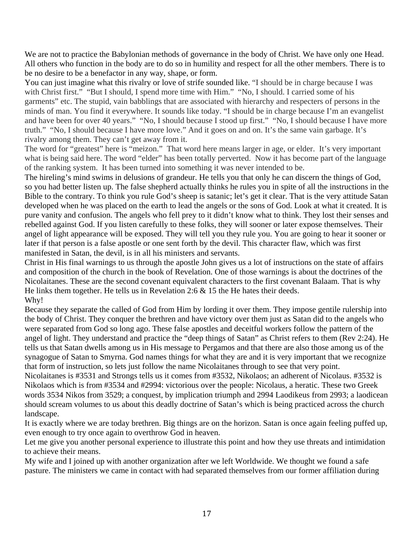We are not to practice the Babylonian methods of governance in the body of Christ. We have only one Head. All others who function in the body are to do so in humility and respect for all the other members. There is to be no desire to be a benefactor in any way, shape, or form.

You can just imagine what this rivalry or love of strife sounded like. "I should be in charge because I was with Christ first." "But I should, I spend more time with Him." "No, I should. I carried some of his garments" etc. The stupid, vain babblings that are associated with hierarchy and respecters of persons in the minds of man. You find it everywhere. It sounds like today. "I should be in charge because I'm an evangelist and have been for over 40 years." "No, I should because I stood up first." "No, I should because I have more truth." "No, I should because I have more love." And it goes on and on. It's the same vain garbage. It's rivalry among them. They can't get away from it.

The word for "greatest" here is "meizon." That word here means larger in age, or elder. It's very important what is being said here. The word "elder" has been totally perverted. Now it has become part of the language of the ranking system. It has been turned into something it was never intended to be.

The hireling's mind swims in delusions of grandeur. He tells you that only he can discern the things of God, so you had better listen up. The false shepherd actually thinks he rules you in spite of all the instructions in the Bible to the contrary. To think you rule God's sheep is satanic; let's get it clear. That is the very attitude Satan developed when he was placed on the earth to lead the angels or the sons of God. Look at what it created. It is pure vanity and confusion. The angels who fell prey to it didn't know what to think. They lost their senses and rebelled against God. If you listen carefully to these folks, they will sooner or later expose themselves. Their angel of light appearance will be exposed. They will tell you they rule you. You are going to hear it sooner or later if that person is a false apostle or one sent forth by the devil. This character flaw, which was first manifested in Satan, the devil, is in all his ministers and servants.

Christ in His final warnings to us through the apostle John gives us a lot of instructions on the state of affairs and composition of the church in the book of Revelation. One of those warnings is about the doctrines of the Nicolaitanes. These are the second covenant equivalent characters to the first covenant Balaam. That is why He links them together. He tells us in Revelation 2:6 & 15 the He hates their deeds. Why!

Because they separate the called of God from Him by lording it over them. They impose gentile rulership into the body of Christ. They conquer the brethren and have victory over them just as Satan did to the angels who were separated from God so long ago. These false apostles and deceitful workers follow the pattern of the angel of light. They understand and practice the "deep things of Satan" as Christ refers to them (Rev 2:24). He tells us that Satan dwells among us in His message to Pergamos and that there are also those among us of the synagogue of Satan to Smyrna. God names things for what they are and it is very important that we recognize that form of instruction, so lets just follow the name Nicolaitanes through to see that very point.

Nicolaitanes is #3531 and Strongs tells us it comes from #3532, Nikolaos; an adherent of Nicolaus. #3532 is Nikolaos which is from #3534 and #2994: victorious over the people: Nicolaus, a heratic. These two Greek words 3534 Nikos from 3529; a conquest, by implication triumph and 2994 Laodikeus from 2993; a laodicean should scream volumes to us about this deadly doctrine of Satan's which is being practiced across the church landscape.

It is exactly where we are today brethren. Big things are on the horizon. Satan is once again feeling puffed up, even enough to try once again to overthrow God in heaven.

Let me give you another personal experience to illustrate this point and how they use threats and intimidation to achieve their means.

My wife and I joined up with another organization after we left Worldwide. We thought we found a safe pasture. The ministers we came in contact with had separated themselves from our former affiliation during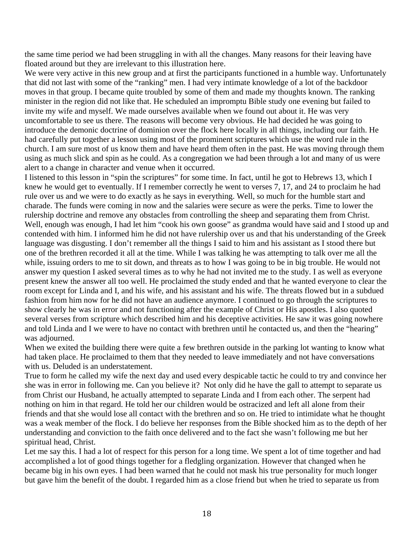the same time period we had been struggling in with all the changes. Many reasons for their leaving have floated around but they are irrelevant to this illustration here.

We were very active in this new group and at first the participants functioned in a humble way. Unfortunately that did not last with some of the "ranking" men. I had very intimate knowledge of a lot of the backdoor moves in that group. I became quite troubled by some of them and made my thoughts known. The ranking minister in the region did not like that. He scheduled an impromptu Bible study one evening but failed to invite my wife and myself. We made ourselves available when we found out about it. He was very uncomfortable to see us there. The reasons will become very obvious. He had decided he was going to introduce the demonic doctrine of dominion over the flock here locally in all things, including our faith. He had carefully put together a lesson using most of the prominent scriptures which use the word rule in the church. I am sure most of us know them and have heard them often in the past. He was moving through them using as much slick and spin as he could. As a congregation we had been through a lot and many of us were alert to a change in character and venue when it occurred.

I listened to this lesson in "spin the scriptures" for some time. In fact, until he got to Hebrews 13, which I knew he would get to eventually. If I remember correctly he went to verses 7, 17, and 24 to proclaim he had rule over us and we were to do exactly as he says in everything. Well, so much for the humble start and charade. The funds were coming in now and the salaries were secure as were the perks. Time to lower the rulership doctrine and remove any obstacles from controlling the sheep and separating them from Christ. Well, enough was enough, I had let him "cook his own goose" as grandma would have said and I stood up and contended with him. I informed him he did not have rulership over us and that his understanding of the Greek language was disgusting. I don't remember all the things I said to him and his assistant as I stood there but one of the brethren recorded it all at the time. While I was talking he was attempting to talk over me all the while, issuing orders to me to sit down, and threats as to how I was going to be in big trouble. He would not answer my question I asked several times as to why he had not invited me to the study. I as well as everyone present knew the answer all too well. He proclaimed the study ended and that he wanted everyone to clear the room except for Linda and I, and his wife, and his assistant and his wife. The threats flowed but in a subdued fashion from him now for he did not have an audience anymore. I continued to go through the scriptures to show clearly he was in error and not functioning after the example of Christ or His apostles. I also quoted several verses from scripture which described him and his deceptive activities. He saw it was going nowhere and told Linda and I we were to have no contact with brethren until he contacted us, and then the "hearing" was adjourned.

When we exited the building there were quite a few brethren outside in the parking lot wanting to know what had taken place. He proclaimed to them that they needed to leave immediately and not have conversations with us. Deluded is an understatement.

True to form he called my wife the next day and used every despicable tactic he could to try and convince her she was in error in following me. Can you believe it? Not only did he have the gall to attempt to separate us from Christ our Husband, he actually attempted to separate Linda and I from each other. The serpent had nothing on him in that regard. He told her our children would be ostracized and left all alone from their friends and that she would lose all contact with the brethren and so on. He tried to intimidate what he thought was a weak member of the flock. I do believe her responses from the Bible shocked him as to the depth of her understanding and conviction to the faith once delivered and to the fact she wasn't following me but her spiritual head, Christ.

Let me say this. I had a lot of respect for this person for a long time. We spent a lot of time together and had accomplished a lot of good things together for a fledgling organization. However that changed when he became big in his own eyes. I had been warned that he could not mask his true personality for much longer but gave him the benefit of the doubt. I regarded him as a close friend but when he tried to separate us from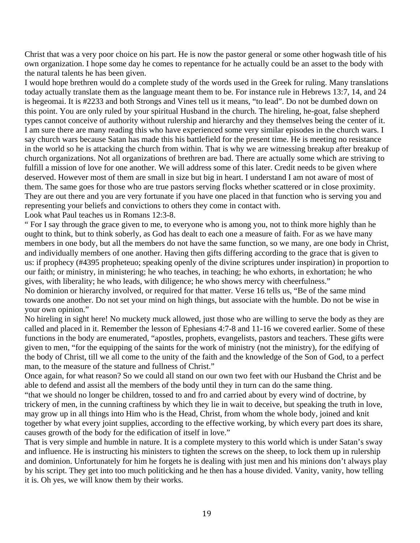Christ that was a very poor choice on his part. He is now the pastor general or some other hogwash title of his own organization. I hope some day he comes to repentance for he actually could be an asset to the body with the natural talents he has been given.

I would hope brethren would do a complete study of the words used in the Greek for ruling. Many translations today actually translate them as the language meant them to be. For instance rule in Hebrews 13:7, 14, and 24 is hegeomai. It is #2233 and both Strongs and Vines tell us it means, "to lead". Do not be dumbed down on this point. You are only ruled by your spiritual Husband in the church. The hireling, he-goat, false shepherd types cannot conceive of authority without rulership and hierarchy and they themselves being the center of it. I am sure there are many reading this who have experienced some very similar episodes in the church wars. I say church wars because Satan has made this his battlefield for the present time. He is meeting no resistance in the world so he is attacking the church from within. That is why we are witnessing breakup after breakup of church organizations. Not all organizations of brethren are bad. There are actually some which are striving to fulfill a mission of love for one another. We will address some of this later. Credit needs to be given where deserved. However most of them are small in size but big in heart. I understand I am not aware of most of them. The same goes for those who are true pastors serving flocks whether scattered or in close proximity. They are out there and you are very fortunate if you have one placed in that function who is serving you and representing your beliefs and convictions to others they come in contact with.

Look what Paul teaches us in Romans 12:3-8.

" For I say through the grace given to me, to everyone who is among you, not to think more highly than he ought to think, but to think soberly, as God has dealt to each one a measure of faith. For as we have many members in one body, but all the members do not have the same function, so we many, are one body in Christ, and individually members of one another. Having then gifts differing according to the grace that is given to us: if prophecy (#4395 propheteuo; speaking openly of the divine scriptures under inspiration) in proportion to our faith; or ministry, in ministering; he who teaches, in teaching; he who exhorts, in exhortation; he who gives, with liberality; he who leads, with diligence; he who shows mercy with cheerfulness." No dominion or hierarchy involved, or required for that matter. Verse 16 tells us, "Be of the same mind towards one another. Do not set your mind on high things, but associate with the humble. Do not be wise in

your own opinion."

No hireling in sight here! No muckety muck allowed, just those who are willing to serve the body as they are called and placed in it. Remember the lesson of Ephesians 4:7-8 and 11-16 we covered earlier. Some of these functions in the body are enumerated, "apostles, prophets, evangelists, pastors and teachers. These gifts were given to men, "for the equipping of the saints for the work of ministry (not the ministry), for the edifying of the body of Christ, till we all come to the unity of the faith and the knowledge of the Son of God, to a perfect man, to the measure of the stature and fullness of Christ."

Once again, for what reason? So we could all stand on our own two feet with our Husband the Christ and be able to defend and assist all the members of the body until they in turn can do the same thing.

"that we should no longer be children, tossed to and fro and carried about by every wind of doctrine, by trickery of men, in the cunning craftiness by which they lie in wait to deceive, but speaking the truth in love, may grow up in all things into Him who is the Head, Christ, from whom the whole body, joined and knit together by what every joint supplies, according to the effective working, by which every part does its share, causes growth of the body for the edification of itself in love."

That is very simple and humble in nature. It is a complete mystery to this world which is under Satan's sway and influence. He is instructing his ministers to tighten the screws on the sheep, to lock them up in rulership and dominion. Unfortunately for him he forgets he is dealing with just men and his minions don't always play by his script. They get into too much politicking and he then has a house divided. Vanity, vanity, how telling it is. Oh yes, we will know them by their works.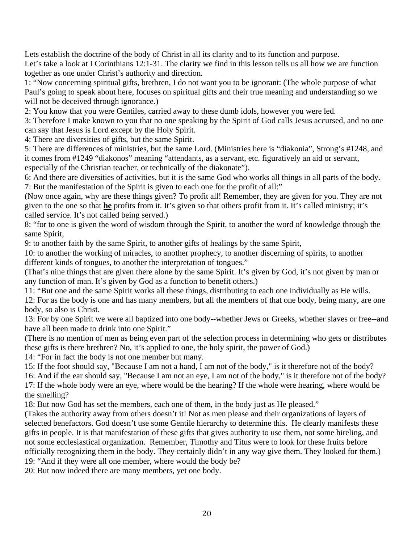Lets establish the doctrine of the body of Christ in all its clarity and to its function and purpose. Let's take a look at I Corinthians 12:1-31. The clarity we find in this lesson tells us all how we are function together as one under Christ's authority and direction.

1: "Now concerning spiritual gifts, brethren, I do not want you to be ignorant: (The whole purpose of what Paul's going to speak about here, focuses on spiritual gifts and their true meaning and understanding so we will not be deceived through ignorance.)

2: You know that you were Gentiles, carried away to these dumb idols, however you were led.

3: Therefore I make known to you that no one speaking by the Spirit of God calls Jesus accursed, and no one can say that Jesus is Lord except by the Holy Spirit.

4: There are diversities of gifts, but the same Spirit.

5: There are differences of ministries, but the same Lord. (Ministries here is "diakonia", Strong's #1248, and it comes from #1249 "diakonos" meaning "attendants, as a servant, etc. figuratively an aid or servant, especially of the Christian teacher, or technically of the diakonate").

6: And there are diversities of activities, but it is the same God who works all things in all parts of the body. 7: But the manifestation of the Spirit is given to each one for the profit of all:"

(Now once again, why are these things given? To profit all! Remember, they are given for you. They are not given to the one so that **he** profits from it. It's given so that others profit from it. It's called ministry; it's called service. It's not called being served.)

8: "for to one is given the word of wisdom through the Spirit, to another the word of knowledge through the same Spirit,

9: to another faith by the same Spirit, to another gifts of healings by the same Spirit,

10: to another the working of miracles, to another prophecy, to another discerning of spirits, to another different kinds of tongues, to another the interpretation of tongues."

(That's nine things that are given there alone by the same Spirit. It's given by God, it's not given by man or any function of man. It's given by God as a function to benefit others.)

11: "But one and the same Spirit works all these things, distributing to each one individually as He wills.

12: For as the body is one and has many members, but all the members of that one body, being many, are one body, so also is Christ.

13: For by one Spirit we were all baptized into one body--whether Jews or Greeks, whether slaves or free--and have all been made to drink into one Spirit."

(There is no mention of men as being even part of the selection process in determining who gets or distributes these gifts is there brethren? No, it's applied to one, the holy spirit, the power of God.)

14: "For in fact the body is not one member but many.

15: If the foot should say, "Because I am not a hand, I am not of the body," is it therefore not of the body?

16: And if the ear should say, "Because I am not an eye, I am not of the body," is it therefore not of the body? 17: If the whole body were an eye, where would be the hearing? If the whole were hearing, where would be the smelling?

18: But now God has set the members, each one of them, in the body just as He pleased."

(Takes the authority away from others doesn't it! Not as men please and their organizations of layers of selected benefactors. God doesn't use some Gentile hierarchy to determine this. He clearly manifests these gifts in people. It is that manifestation of these gifts that gives authority to use them, not some hireling, and not some ecclesiastical organization. Remember, Timothy and Titus were to look for these fruits before officially recognizing them in the body. They certainly didn't in any way give them. They looked for them.) 19: "And if they were all one member, where would the body be?

20: But now indeed there are many members, yet one body.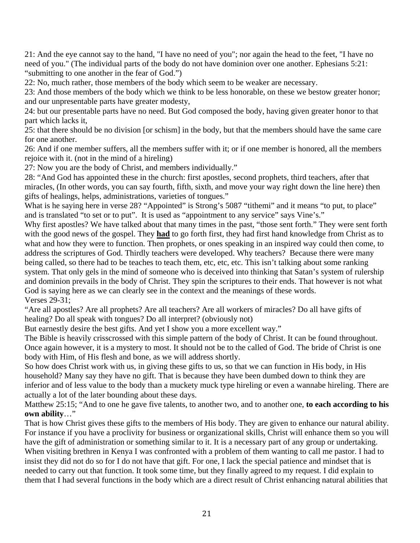21: And the eye cannot say to the hand, "I have no need of you"; nor again the head to the feet, "I have no need of you." (The individual parts of the body do not have dominion over one another. Ephesians 5:21: "submitting to one another in the fear of God.")

22: No, much rather, those members of the body which seem to be weaker are necessary.

23: And those members of the body which we think to be less honorable, on these we bestow greater honor; and our unpresentable parts have greater modesty,

24: but our presentable parts have no need. But God composed the body, having given greater honor to that part which lacks it,

25: that there should be no division [or schism] in the body, but that the members should have the same care for one another.

26: And if one member suffers, all the members suffer with it; or if one member is honored, all the members rejoice with it. (not in the mind of a hireling)

27: Now you are the body of Christ, and members individually."

28: "And God has appointed these in the church: first apostles, second prophets, third teachers, after that miracles, (In other words, you can say fourth, fifth, sixth, and move your way right down the line here) then gifts of healings, helps, administrations, varieties of tongues."

What is he saying here in verse 28? "Appointed" is Strong's 5087 "tithemi" and it means "to put, to place" and is translated "to set or to put". It is used as "appointment to any service" says Vine's."

Why first apostles? We have talked about that many times in the past, "those sent forth." They were sent forth with the good news of the gospel. They **had** to go forth first, they had first hand knowledge from Christ as to what and how they were to function. Then prophets, or ones speaking in an inspired way could then come, to address the scriptures of God. Thirdly teachers were developed. Why teachers? Because there were many being called, so there had to be teaches to teach them, etc, etc, etc. This isn't talking about some ranking system. That only gels in the mind of someone who is deceived into thinking that Satan's system of rulership and dominion prevails in the body of Christ. They spin the scriptures to their ends. That however is not what God is saying here as we can clearly see in the context and the meanings of these words. Verses 29-31;

"Are all apostles? Are all prophets? Are all teachers? Are all workers of miracles? Do all have gifts of healing? Do all speak with tongues? Do all interpret? (obviously not)

But earnestly desire the best gifts. And yet I show you a more excellent way."

The Bible is heavily crisscrossed with this simple pattern of the body of Christ. It can be found throughout. Once again however, it is a mystery to most. It should not be to the called of God. The bride of Christ is one body with Him, of His flesh and bone, as we will address shortly.

So how does Christ work with us, in giving these gifts to us, so that we can function in His body, in His household? Many say they have no gift. That is because they have been dumbed down to think they are inferior and of less value to the body than a muckety muck type hireling or even a wannabe hireling. There are actually a lot of the later bounding about these days.

Matthew 25:15; "And to one he gave five talents, to another two, and to another one, **to each according to his own ability**…"

That is how Christ gives these gifts to the members of His body. They are given to enhance our natural ability. For instance if you have a proclivity for business or organizational skills, Christ will enhance them so you will have the gift of administration or something similar to it. It is a necessary part of any group or undertaking. When visiting brethren in Kenya I was confronted with a problem of them wanting to call me pastor. I had to insist they did not do so for I do not have that gift. For one, I lack the special patience and mindset that is needed to carry out that function. It took some time, but they finally agreed to my request. I did explain to them that I had several functions in the body which are a direct result of Christ enhancing natural abilities that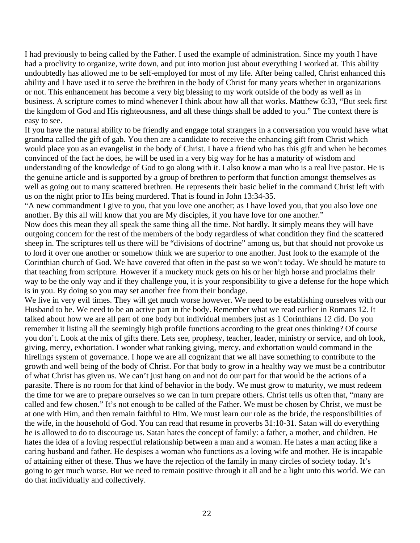I had previously to being called by the Father. I used the example of administration. Since my youth I have had a proclivity to organize, write down, and put into motion just about everything I worked at. This ability undoubtedly has allowed me to be self-employed for most of my life. After being called, Christ enhanced this ability and I have used it to serve the brethren in the body of Christ for many years whether in organizations or not. This enhancement has become a very big blessing to my work outside of the body as well as in business. A scripture comes to mind whenever I think about how all that works. Matthew 6:33, "But seek first the kingdom of God and His righteousness, and all these things shall be added to you." The context there is easy to see.

If you have the natural ability to be friendly and engage total strangers in a conversation you would have what grandma called the gift of gab. You then are a candidate to receive the enhancing gift from Christ which would place you as an evangelist in the body of Christ. I have a friend who has this gift and when he becomes convinced of the fact he does, he will be used in a very big way for he has a maturity of wisdom and understanding of the knowledge of God to go along with it. I also know a man who is a real live pastor. He is the genuine article and is supported by a group of brethren to perform that function amongst themselves as well as going out to many scattered brethren. He represents their basic belief in the command Christ left with us on the night prior to His being murdered. That is found in John 13:34-35.

"A new commandment I give to you, that you love one another; as I have loved you, that you also love one another. By this all will know that you are My disciples, if you have love for one another."

Now does this mean they all speak the same thing all the time. Not hardly. It simply means they will have outgoing concern for the rest of the members of the body regardless of what condition they find the scattered sheep in. The scriptures tell us there will be "divisions of doctrine" among us, but that should not provoke us to lord it over one another or somehow think we are superior to one another. Just look to the example of the Corinthian church of God. We have covered that often in the past so we won't today. We should be mature to that teaching from scripture. However if a muckety muck gets on his or her high horse and proclaims their way to be the only way and if they challenge you, it is your responsibility to give a defense for the hope which is in you. By doing so you may set another free from their bondage.

We live in very evil times. They will get much worse however. We need to be establishing ourselves with our Husband to be. We need to be an active part in the body. Remember what we read earlier in Romans 12. It talked about how we are all part of one body but individual members just as 1 Corinthians 12 did. Do you remember it listing all the seemingly high profile functions according to the great ones thinking? Of course you don't. Look at the mix of gifts there. Lets see, prophesy, teacher, leader, ministry or service, and oh look, giving, mercy, exhortation. I wonder what ranking giving, mercy, and exhortation would command in the hirelings system of governance. I hope we are all cognizant that we all have something to contribute to the growth and well being of the body of Christ. For that body to grow in a healthy way we must be a contributor of what Christ has given us. We can't just hang on and not do our part for that would be the actions of a parasite. There is no room for that kind of behavior in the body. We must grow to maturity, we must redeem the time for we are to prepare ourselves so we can in turn prepare others. Christ tells us often that, "many are called and few chosen." It's not enough to be called of the Father. We must be chosen by Christ, we must be at one with Him, and then remain faithful to Him. We must learn our role as the bride, the responsibilities of the wife, in the household of God. You can read that resume in proverbs 31:10-31. Satan will do everything he is allowed to do to discourage us. Satan hates the concept of family: a father, a mother, and children. He hates the idea of a loving respectful relationship between a man and a woman. He hates a man acting like a caring husband and father. He despises a woman who functions as a loving wife and mother. He is incapable of attaining either of these. Thus we have the rejection of the family in many circles of society today. It's going to get much worse. But we need to remain positive through it all and be a light unto this world. We can do that individually and collectively.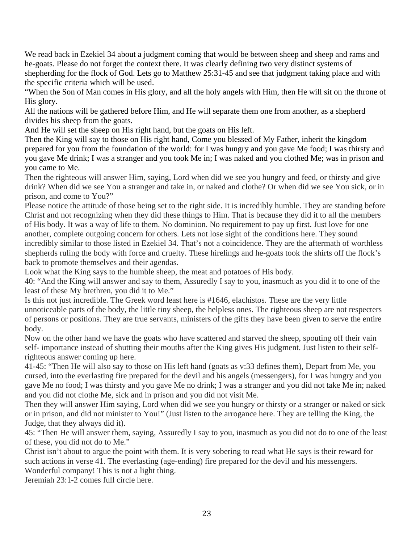We read back in Ezekiel 34 about a judgment coming that would be between sheep and sheep and rams and he-goats. Please do not forget the context there. It was clearly defining two very distinct systems of shepherding for the flock of God. Lets go to Matthew 25:31-45 and see that judgment taking place and with the specific criteria which will be used.

"When the Son of Man comes in His glory, and all the holy angels with Him, then He will sit on the throne of His glory.

All the nations will be gathered before Him, and He will separate them one from another, as a shepherd divides his sheep from the goats.

And He will set the sheep on His right hand, but the goats on His left.

Then the King will say to those on His right hand, Come you blessed of My Father, inherit the kingdom prepared for you from the foundation of the world: for I was hungry and you gave Me food; I was thirsty and you gave Me drink; I was a stranger and you took Me in; I was naked and you clothed Me; was in prison and you came to Me.

Then the righteous will answer Him, saying, Lord when did we see you hungry and feed, or thirsty and give drink? When did we see You a stranger and take in, or naked and clothe? Or when did we see You sick, or in prison, and come to You?"

Please notice the attitude of those being set to the right side. It is incredibly humble. They are standing before Christ and not recognizing when they did these things to Him. That is because they did it to all the members of His body. It was a way of life to them. No dominion. No requirement to pay up first. Just love for one another, complete outgoing concern for others. Lets not lose sight of the conditions here. They sound incredibly similar to those listed in Ezekiel 34. That's not a coincidence. They are the aftermath of worthless shepherds ruling the body with force and cruelty. These hirelings and he-goats took the shirts off the flock's back to promote themselves and their agendas.

Look what the King says to the humble sheep, the meat and potatoes of His body.

40: "And the King will answer and say to them, Assuredly I say to you, inasmuch as you did it to one of the least of these My brethren, you did it to Me."

Is this not just incredible. The Greek word least here is #1646, elachistos. These are the very little unnoticeable parts of the body, the little tiny sheep, the helpless ones. The righteous sheep are not respecters of persons or positions. They are true servants, ministers of the gifts they have been given to serve the entire body.

Now on the other hand we have the goats who have scattered and starved the sheep, spouting off their vain self- importance instead of shutting their mouths after the King gives His judgment. Just listen to their selfrighteous answer coming up here.

41-45: "Then He will also say to those on His left hand (goats as v:33 defines them), Depart from Me, you cursed, into the everlasting fire prepared for the devil and his angels (messengers), for I was hungry and you gave Me no food; I was thirsty and you gave Me no drink; I was a stranger and you did not take Me in; naked and you did not clothe Me, sick and in prison and you did not visit Me.

Then they will answer Him saying, Lord when did we see you hungry or thirsty or a stranger or naked or sick or in prison, and did not minister to You!" (Just listen to the arrogance here. They are telling the King, the Judge, that they always did it).

45: "Then He will answer them, saying, Assuredly I say to you, inasmuch as you did not do to one of the least of these, you did not do to Me."

Christ isn't about to argue the point with them. It is very sobering to read what He says is their reward for such actions in verse 41. The everlasting (age-ending) fire prepared for the devil and his messengers. Wonderful company! This is not a light thing.

Jeremiah 23:1-2 comes full circle here.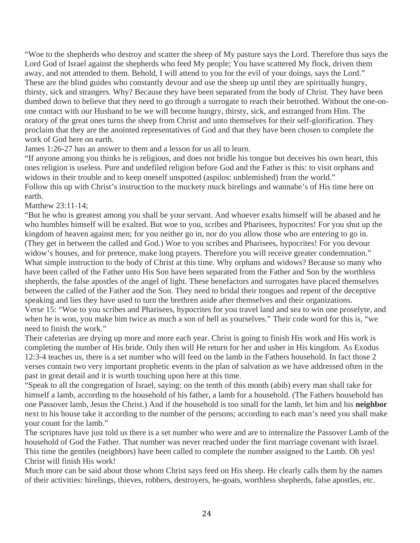"Woe to the shepherds who destroy and scatter the sheep of My pasture says the Lord. Therefore thus says the Lord God of Israel against the shepherds who feed My people; You have scattered My flock, driven them away, and not attended to them. Behold, I will attend to you for the evil of your doings, says the Lord." These are the blind guides who constantly devour and use the sheep up until they are spiritually hungry, thirsty, sick and strangers. Why? Because they have been separated from the body of Christ. They have been dumbed down to believe that they need to go through a surrogate to reach their betrothed. Without the one-onone contact with our Husband to be we will become hungry, thirsty, sick, and estranged from Him. The oratory of the great ones turns the sheep from Christ and unto themselves for their self-glorification. They proclaim that they are the anointed representatives of God and that they have been chosen to complete the work of God here on earth.

James 1:26-27 has an answer to them and a lesson for us all to learn.

"If anyone among you thinks he is religious, and does not bridle his tongue but deceives his own heart, this ones religion is useless. Pure and undefiled religion before God and the Father is this: to visit orphans and widows in their trouble and to keep oneself unspotted (aspilos: unblemished) from the world." Follow this up with Christ's instruction to the muckety muck hirelings and wannabe's of His time here on earth.

Matthew 23:11-14;

"But he who is greatest among you shall be your servant. And whoever exalts himself will be abased and he who humbles himself will be exalted. But woe to you, scribes and Pharisees, hypocrites! For you shut up the kingdom of heaven against men; for you neither go in, nor do you allow those who are entering to go in. (They get in between the called and God.) Woe to you scribes and Pharisees, hypocrites! For you devour widow's houses, and for pretence, make long prayers. Therefore you will receive greater condemnation." What simple instruction to the body of Christ at this time. Why orphans and widows? Because so many who have been called of the Father unto His Son have been separated from the Father and Son by the worthless shepherds, the false apostles of the angel of light. These benefactors and surrogates have placed themselves between the called of the Father and the Son. They need to bridal their tongues and repent of the deceptive speaking and lies they have used to turn the brethren aside after themselves and their organizations. Verse 15: "Woe to you scribes and Pharisees, hypocrites for you travel land and sea to win one proselyte, and when he is won, you make him twice as much a son of hell as yourselves." Their code word for this is, "we need to finish the work."

Their cafeterias are drying up more and more each year. Christ is going to finish His work and His work is completing the number of His bride. Only then will He return for her and usher in His kingdom. As Exodus 12:3-4 teaches us, there is a set number who will feed on the lamb in the Fathers household. In fact those 2 verses contain two very important prophetic events in the plan of salvation as we have addressed often in the past in great detail and it is worth touching upon here at this time.

"Speak to all the congregation of Israel, saying: on the tenth of this month (abib) every man shall take for himself a lamb, according to the household of his father, a lamb for a household. (The Fathers household has one Passover lamb, Jesus the Christ.) And if the household is too small for the lamb, let him and his **neighbor**  next to his house take it according to the number of the persons; according to each man's need you shall make your count for the lamb."

The scriptures have just told us there is a set number who were and are to internalize the Passover Lamb of the household of God the Father. That number was never reached under the first marriage covenant with Israel. This time the gentiles (neighbors) have been called to complete the number assigned to the Lamb. Oh yes! Christ will finish His work!

Much more can be said about those whom Christ says feed on His sheep. He clearly calls them by the names of their activities: hirelings, thieves, robbers, destroyers, he-goats, worthless shepherds, false apostles, etc.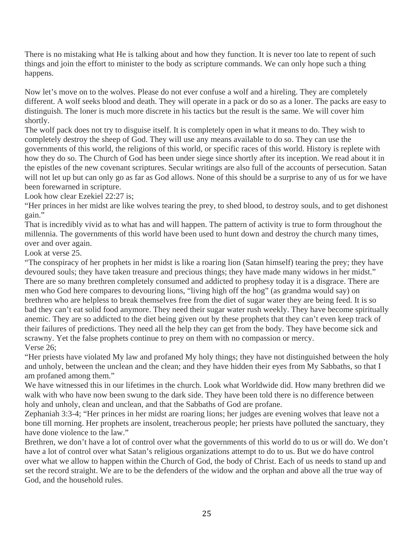There is no mistaking what He is talking about and how they function. It is never too late to repent of such things and join the effort to minister to the body as scripture commands. We can only hope such a thing happens.

Now let's move on to the wolves. Please do not ever confuse a wolf and a hireling. They are completely different. A wolf seeks blood and death. They will operate in a pack or do so as a loner. The packs are easy to distinguish. The loner is much more discrete in his tactics but the result is the same. We will cover him shortly.

The wolf pack does not try to disguise itself. It is completely open in what it means to do. They wish to completely destroy the sheep of God. They will use any means available to do so. They can use the governments of this world, the religions of this world, or specific races of this world. History is replete with how they do so. The Church of God has been under siege since shortly after its inception. We read about it in the epistles of the new covenant scriptures. Secular writings are also full of the accounts of persecution. Satan will not let up but can only go as far as God allows. None of this should be a surprise to any of us for we have been forewarned in scripture.

Look how clear Ezekiel 22:27 is;

"Her princes in her midst are like wolves tearing the prey, to shed blood, to destroy souls, and to get dishonest gain."

That is incredibly vivid as to what has and will happen. The pattern of activity is true to form throughout the millennia. The governments of this world have been used to hunt down and destroy the church many times, over and over again.

Look at verse 25.

"The conspiracy of her prophets in her midst is like a roaring lion (Satan himself) tearing the prey; they have devoured souls; they have taken treasure and precious things; they have made many widows in her midst." There are so many brethren completely consumed and addicted to prophesy today it is a disgrace. There are men who God here compares to devouring lions, "living high off the hog" (as grandma would say) on brethren who are helpless to break themselves free from the diet of sugar water they are being feed. It is so bad they can't eat solid food anymore. They need their sugar water rush weekly. They have become spiritually anemic. They are so addicted to the diet being given out by these prophets that they can't even keep track of their failures of predictions. They need all the help they can get from the body. They have become sick and scrawny. Yet the false prophets continue to prey on them with no compassion or mercy. Verse 26;

"Her priests have violated My law and profaned My holy things; they have not distinguished between the holy and unholy, between the unclean and the clean; and they have hidden their eyes from My Sabbaths, so that I am profaned among them."

We have witnessed this in our lifetimes in the church. Look what Worldwide did. How many brethren did we walk with who have now been swung to the dark side. They have been told there is no difference between holy and unholy, clean and unclean, and that the Sabbaths of God are profane.

Zephaniah 3:3-4; "Her princes in her midst are roaring lions; her judges are evening wolves that leave not a bone till morning. Her prophets are insolent, treacherous people; her priests have polluted the sanctuary, they have done violence to the law."

Brethren, we don't have a lot of control over what the governments of this world do to us or will do. We don't have a lot of control over what Satan's religious organizations attempt to do to us. But we do have control over what we allow to happen within the Church of God, the body of Christ. Each of us needs to stand up and set the record straight. We are to be the defenders of the widow and the orphan and above all the true way of God, and the household rules.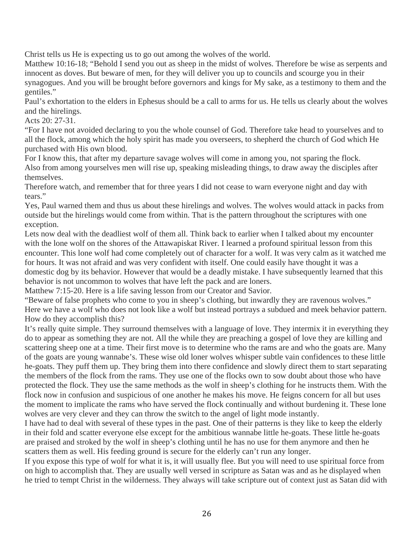Christ tells us He is expecting us to go out among the wolves of the world.

Matthew 10:16-18; "Behold I send you out as sheep in the midst of wolves. Therefore be wise as serpents and innocent as doves. But beware of men, for they will deliver you up to councils and scourge you in their synagogues. And you will be brought before governors and kings for My sake, as a testimony to them and the gentiles."

Paul's exhortation to the elders in Ephesus should be a call to arms for us. He tells us clearly about the wolves and the hirelings.

Acts 20: 27-31.

"For I have not avoided declaring to you the whole counsel of God. Therefore take head to yourselves and to all the flock, among which the holy spirit has made you overseers, to shepherd the church of God which He purchased with His own blood.

For I know this, that after my departure savage wolves will come in among you, not sparing the flock. Also from among yourselves men will rise up, speaking misleading things, to draw away the disciples after themselves.

Therefore watch, and remember that for three years I did not cease to warn everyone night and day with tears."

Yes, Paul warned them and thus us about these hirelings and wolves. The wolves would attack in packs from outside but the hirelings would come from within. That is the pattern throughout the scriptures with one exception.

Lets now deal with the deadliest wolf of them all. Think back to earlier when I talked about my encounter with the lone wolf on the shores of the Attawapiskat River. I learned a profound spiritual lesson from this encounter. This lone wolf had come completely out of character for a wolf. It was very calm as it watched me for hours. It was not afraid and was very confident with itself. One could easily have thought it was a domestic dog by its behavior. However that would be a deadly mistake. I have subsequently learned that this behavior is not uncommon to wolves that have left the pack and are loners.

Matthew 7:15-20. Here is a life saving lesson from our Creator and Savior.

"Beware of false prophets who come to you in sheep's clothing, but inwardly they are ravenous wolves." Here we have a wolf who does not look like a wolf but instead portrays a subdued and meek behavior pattern. How do they accomplish this?

It's really quite simple. They surround themselves with a language of love. They intermix it in everything they do to appear as something they are not. All the while they are preaching a gospel of love they are killing and scattering sheep one at a time. Their first move is to determine who the rams are and who the goats are. Many of the goats are young wannabe's. These wise old loner wolves whisper subtle vain confidences to these little he-goats. They puff them up. They bring them into there confidence and slowly direct them to start separating the members of the flock from the rams. They use one of the flocks own to sow doubt about those who have protected the flock. They use the same methods as the wolf in sheep's clothing for he instructs them. With the flock now in confusion and suspicious of one another he makes his move. He feigns concern for all but uses the moment to implicate the rams who have served the flock continually and without burdening it. These lone wolves are very clever and they can throw the switch to the angel of light mode instantly.

I have had to deal with several of these types in the past. One of their patterns is they like to keep the elderly in their fold and scatter everyone else except for the ambitious wannabe little he-goats. These little he-goats are praised and stroked by the wolf in sheep's clothing until he has no use for them anymore and then he scatters them as well. His feeding ground is secure for the elderly can't run any longer.

If you expose this type of wolf for what it is, it will usually flee. But you will need to use spiritual force from on high to accomplish that. They are usually well versed in scripture as Satan was and as he displayed when he tried to tempt Christ in the wilderness. They always will take scripture out of context just as Satan did with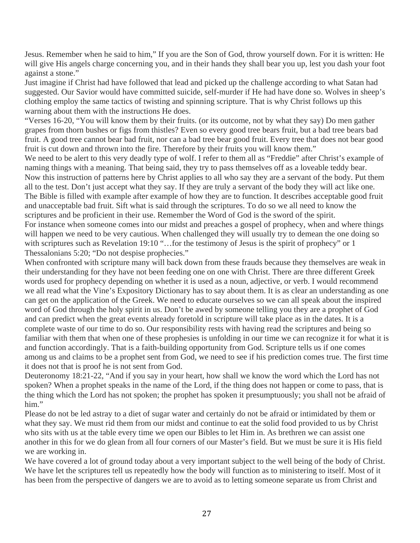Jesus. Remember when he said to him," If you are the Son of God, throw yourself down. For it is written: He will give His angels charge concerning you, and in their hands they shall bear you up, lest you dash your foot against a stone."

Just imagine if Christ had have followed that lead and picked up the challenge according to what Satan had suggested. Our Savior would have committed suicide, self-murder if He had have done so. Wolves in sheep's clothing employ the same tactics of twisting and spinning scripture. That is why Christ follows up this warning about them with the instructions He does.

"Verses 16-20, "You will know them by their fruits. (or its outcome, not by what they say) Do men gather grapes from thorn bushes or figs from thistles? Even so every good tree bears fruit, but a bad tree bears bad fruit. A good tree cannot bear bad fruit, nor can a bad tree bear good fruit. Every tree that does not bear good fruit is cut down and thrown into the fire. Therefore by their fruits you will know them."

We need to be alert to this very deadly type of wolf. I refer to them all as "Freddie" after Christ's example of naming things with a meaning. That being said, they try to pass themselves off as a loveable teddy bear. Now this instruction of patterns here by Christ applies to all who say they are a servant of the body. Put them all to the test. Don't just accept what they say. If they are truly a servant of the body they will act like one. The Bible is filled with example after example of how they are to function. It describes acceptable good fruit and unacceptable bad fruit. Sift what is said through the scriptures. To do so we all need to know the scriptures and be proficient in their use. Remember the Word of God is the sword of the spirit. For instance when someone comes into our midst and preaches a gospel of prophecy, when and where things will happen we need to be very cautious. When challenged they will usually try to demean the one doing so with scriptures such as Revelation 19:10 "...for the testimony of Jesus is the spirit of prophecy" or 1 Thessalonians 5:20; "Do not despise prophecies."

When confronted with scripture many will back down from these frauds because they themselves are weak in their understanding for they have not been feeding one on one with Christ. There are three different Greek words used for prophecy depending on whether it is used as a noun, adjective, or verb. I would recommend we all read what the Vine's Expository Dictionary has to say about them. It is as clear an understanding as one can get on the application of the Greek. We need to educate ourselves so we can all speak about the inspired word of God through the holy spirit in us. Don't be awed by someone telling you they are a prophet of God and can predict when the great events already foretold in scripture will take place as in the dates. It is a complete waste of our time to do so. Our responsibility rests with having read the scriptures and being so familiar with them that when one of these prophesies is unfolding in our time we can recognize it for what it is and function accordingly. That is a faith-building opportunity from God. Scripture tells us if one comes among us and claims to be a prophet sent from God, we need to see if his prediction comes true. The first time it does not that is proof he is not sent from God.

Deuteronomy 18:21-22, "And if you say in your heart, how shall we know the word which the Lord has not spoken? When a prophet speaks in the name of the Lord, if the thing does not happen or come to pass, that is the thing which the Lord has not spoken; the prophet has spoken it presumptuously; you shall not be afraid of him."

Please do not be led astray to a diet of sugar water and certainly do not be afraid or intimidated by them or what they say. We must rid them from our midst and continue to eat the solid food provided to us by Christ who sits with us at the table every time we open our Bibles to let Him in. As brethren we can assist one another in this for we do glean from all four corners of our Master's field. But we must be sure it is His field we are working in.

We have covered a lot of ground today about a very important subject to the well being of the body of Christ. We have let the scriptures tell us repeatedly how the body will function as to ministering to itself. Most of it has been from the perspective of dangers we are to avoid as to letting someone separate us from Christ and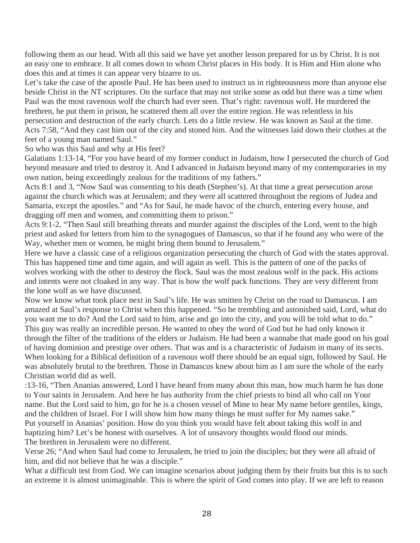following them as our head. With all this said we have yet another lesson prepared for us by Christ. It is not an easy one to embrace. It all comes down to whom Christ places in His body. It is Him and Him alone who does this and at times it can appear very bizarre to us.

Let's take the case of the apostle Paul. He has been used to instruct us in righteousness more than anyone else beside Christ in the NT scriptures. On the surface that may not strike some as odd but there was a time when Paul was the most ravenous wolf the church had ever seen. That's right: ravenous wolf. He murdered the brethren, he put them in prison, he scattered them all over the entire region. He was relentless in his persecution and destruction of the early church. Lets do a little review. He was known as Saul at the time. Acts 7:58, "And they cast him out of the city and stoned him. And the witnesses laid down their clothes at the feet of a young man named Saul."

So who was this Saul and why at His feet?

Galatians 1:13-14, "For you have heard of my former conduct in Judaism, how I persecuted the church of God beyond measure and tried to destroy it. And I advanced in Judaism beyond many of my contemporaries in my own nation, being exceedingly zealous for the traditions of my fathers."

Acts 8:1 and 3, "Now Saul was consenting to his death (Stephen's). At that time a great persecution arose against the church which was at Jerusalem; and they were all scattered throughout the regions of Judea and Samaria, except the apostles." and "As for Saul, he made havoc of the church, entering every house, and dragging off men and women, and committing them to prison."

Acts 9:1-2, "Then Saul still breathing threats and murder against the disciples of the Lord, went to the high priest and asked for letters from him to the synagogues of Damascus, so that if he found any who were of the Way, whether men or women, he might bring them bound to Jerusalem."

Here we have a classic case of a religious organization persecuting the church of God with the states approval. This has happened time and time again, and will again as well. This is the pattern of one of the packs of wolves working with the other to destroy the flock. Saul was the most zealous wolf in the pack. His actions and intents were not cloaked in any way. That is how the wolf pack functions. They are very different from the lone wolf as we have discussed.

Now we know what took place next in Saul's life. He was smitten by Christ on the road to Damascus. I am amazed at Saul's response to Christ when this happened. "So he trembling and astonished said, Lord, what do you want me to do? And the Lord said to him, arise and go into the city, and you will be told what to do." This guy was really an incredible person. He wanted to obey the word of God but he had only known it through the filter of the traditions of the elders or Judaism. He had been a wannabe that made good on his goal of having dominion and prestige over others. That was and is a characteristic of Judaism in many of its sects. When looking for a Biblical definition of a ravenous wolf there should be an equal sign, followed by Saul. He was absolutely brutal to the brethren. Those in Damascus knew about him as I am sure the whole of the early Christian world did as well.

:13-16, "Then Ananias answered, Lord I have heard from many about this man, how much harm he has done to Your saints in Jerusalem. And here he has authority from the chief priests to bind all who call on Your name. But the Lord said to him, go for he is a chosen vessel of Mine to bear My name before gentiles, kings, and the children of Israel. For I will show him how many things he must suffer for My names sake." Put yourself in Ananias' position. How do you think you would have felt about taking this wolf in and baptizing him? Let's be honest with ourselves. A lot of unsavory thoughts would flood our minds. The brethren in Jerusalem were no different.

Verse 26; "And when Saul had come to Jerusalem, he tried to join the disciples; but they were all afraid of him, and did not believe that he was a disciple."

What a difficult test from God. We can imagine scenarios about judging them by their fruits but this is to such an extreme it is almost unimaginable. This is where the spirit of God comes into play. If we are left to reason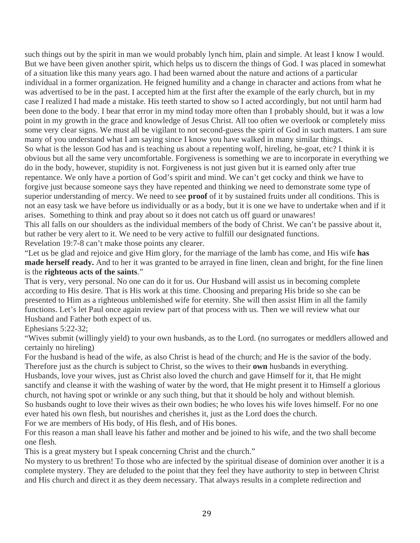such things out by the spirit in man we would probably lynch him, plain and simple. At least I know I would. But we have been given another spirit, which helps us to discern the things of God. I was placed in somewhat of a situation like this many years ago. I had been warned about the nature and actions of a particular individual in a former organization. He feigned humility and a change in character and actions from what he was advertised to be in the past. I accepted him at the first after the example of the early church, but in my case I realized I had made a mistake. His teeth started to show so I acted accordingly, but not until harm had been done to the body. I bear that error in my mind today more often than I probably should, but it was a low point in my growth in the grace and knowledge of Jesus Christ. All too often we overlook or completely miss some very clear signs. We must all be vigilant to not second-guess the spirit of God in such matters. I am sure many of you understand what I am saying since I know you have walked in many similar things. So what is the lesson God has and is teaching us about a repenting wolf, hireling, he-goat, etc? I think it is obvious but all the same very uncomfortable. Forgiveness is something we are to incorporate in everything we do in the body, however, stupidity is not. Forgiveness is not just given but it is earned only after true repentance. We only have a portion of God's spirit and mind. We can't get cocky and think we have to forgive just because someone says they have repented and thinking we need to demonstrate some type of superior understanding of mercy. We need to see **proof** of it by sustained fruits under all conditions. This is not an easy task we have before us individually or as a body, but it is one we have to undertake when and if it arises. Something to think and pray about so it does not catch us off guard or unawares! This all falls on our shoulders as the individual members of the body of Christ. We can't be passive about it, but rather be very alert to it. We need to be very active to fulfill our designated functions. Revelation 19:7-8 can't make those points any clearer.

"Let us be glad and rejoice and give Him glory, for the marriage of the lamb has come, and His wife **has made herself ready.** And to her it was granted to be arrayed in fine linen, clean and bright, for the fine linen is the **righteous acts of the saints**."

That is very, very personal. No one can do it for us. Our Husband will assist us in becoming complete according to His desire. That is His work at this time. Choosing and preparing His bride so she can be presented to Him as a righteous unblemished wife for eternity. She will then assist Him in all the family functions. Let's let Paul once again review part of that process with us. Then we will review what our Husband and Father both expect of us.

## Ephesians 5:22-32;

"Wives submit (willingly yield) to your own husbands, as to the Lord. (no surrogates or meddlers allowed and certainly no hireling)

For the husband is head of the wife, as also Christ is head of the church; and He is the savior of the body. Therefore just as the church is subject to Christ, so the wives to their **own** husbands in everything.

Husbands, love your wives, just as Christ also loved the church and gave Himself for it, that He might sanctify and cleanse it with the washing of water by the word, that He might present it to Himself a glorious church, not having spot or wrinkle or any such thing, but that it should be holy and without blemish. So husbands ought to love their wives as their own bodies; he who loves his wife loves himself. For no one ever hated his own flesh, but nourishes and cherishes it, just as the Lord does the church.

For we are members of His body, of His flesh, and of His bones.

For this reason a man shall leave his father and mother and be joined to his wife, and the two shall become one flesh.

This is a great mystery but I speak concerning Christ and the church."

No mystery to us brethren! To those who are infected by the spiritual disease of dominion over another it is a complete mystery. They are deluded to the point that they feel they have authority to step in between Christ and His church and direct it as they deem necessary. That always results in a complete redirection and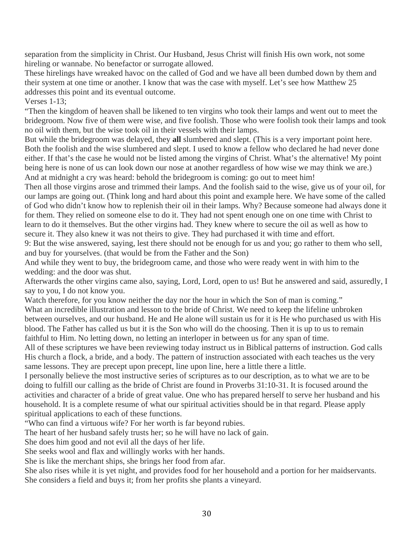separation from the simplicity in Christ. Our Husband, Jesus Christ will finish His own work, not some hireling or wannabe. No benefactor or surrogate allowed.

These hirelings have wreaked havoc on the called of God and we have all been dumbed down by them and their system at one time or another. I know that was the case with myself. Let's see how Matthew 25 addresses this point and its eventual outcome.

Verses 1-13;

"Then the kingdom of heaven shall be likened to ten virgins who took their lamps and went out to meet the bridegroom. Now five of them were wise, and five foolish. Those who were foolish took their lamps and took no oil with them, but the wise took oil in their vessels with their lamps.

But while the bridegroom was delayed, they **all** slumbered and slept. (This is a very important point here. Both the foolish and the wise slumbered and slept. I used to know a fellow who declared he had never done either. If that's the case he would not be listed among the virgins of Christ. What's the alternative! My point being here is none of us can look down our nose at another regardless of how wise we may think we are.) And at midnight a cry was heard: behold the bridegroom is coming: go out to meet him!

Then all those virgins arose and trimmed their lamps. And the foolish said to the wise, give us of your oil, for our lamps are going out. (Think long and hard about this point and example here. We have some of the called of God who didn't know how to replenish their oil in their lamps. Why? Because someone had always done it for them. They relied on someone else to do it. They had not spent enough one on one time with Christ to learn to do it themselves. But the other virgins had. They knew where to secure the oil as well as how to secure it. They also knew it was not theirs to give. They had purchased it with time and effort.

9: But the wise answered, saying, lest there should not be enough for us and you; go rather to them who sell, and buy for yourselves. (that would be from the Father and the Son)

And while they went to buy, the bridegroom came, and those who were ready went in with him to the wedding: and the door was shut.

Afterwards the other virgins came also, saying, Lord, Lord, open to us! But he answered and said, assuredly, I say to you, I do not know you.

Watch therefore, for you know neither the day nor the hour in which the Son of man is coming." What an incredible illustration and lesson to the bride of Christ. We need to keep the lifeline unbroken between ourselves, and our husband. He and He alone will sustain us for it is He who purchased us with His blood. The Father has called us but it is the Son who will do the choosing. Then it is up to us to remain faithful to Him. No letting down, no letting an interloper in between us for any span of time.

All of these scriptures we have been reviewing today instruct us in Biblical patterns of instruction. God calls His church a flock, a bride, and a body. The pattern of instruction associated with each teaches us the very same lessons. They are precept upon precept, line upon line, here a little there a little.

I personally believe the most instructive series of scriptures as to our description, as to what we are to be doing to fulfill our calling as the bride of Christ are found in Proverbs 31:10-31. It is focused around the activities and character of a bride of great value. One who has prepared herself to serve her husband and his household. It is a complete resume of what our spiritual activities should be in that regard. Please apply spiritual applications to each of these functions.

"Who can find a virtuous wife? For her worth is far beyond rubies.

The heart of her husband safely trusts her; so he will have no lack of gain.

She does him good and not evil all the days of her life.

She seeks wool and flax and willingly works with her hands.

She is like the merchant ships, she brings her food from afar.

She also rises while it is yet night, and provides food for her household and a portion for her maidservants. She considers a field and buys it; from her profits she plants a vineyard.